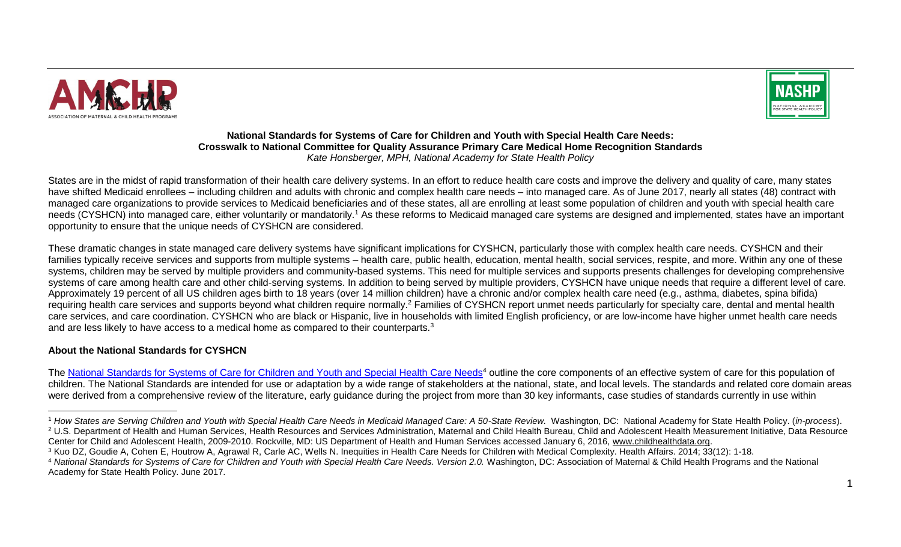



## **National Standards for Systems of Care for Children and Youth with Special Health Care Needs: Crosswalk to National Committee for Quality Assurance Primary Care Medical Home Recognition Standards**  *Kate Honsberger, MPH, National Academy for State Health Policy*

States are in the midst of rapid transformation of their health care delivery systems. In an effort to reduce health care costs and improve the delivery and quality of care, many states have shifted Medicaid enrollees – including children and adults with chronic and complex health care needs – into managed care. As of June 2017, nearly all states (48) contract with managed care organizations to provide services to Medicaid beneficiaries and of these states, all are enrolling at least some population of children and youth with special health care needs (CYSHCN) into managed care, either voluntarily or mandatorily.<sup>1</sup> As these reforms to Medicaid managed care systems are designed and implemented, states have an important opportunity to ensure that the unique needs of CYSHCN are considered.

These dramatic changes in state managed care delivery systems have significant implications for CYSHCN, particularly those with complex health care needs. CYSHCN and their families typically receive services and supports from multiple systems – health care, public health, education, mental health, social services, respite, and more. Within any one of these systems, children may be served by multiple providers and community-based systems. This need for multiple services and supports presents challenges for developing comprehensive systems of care among health care and other child-serving systems. In addition to being served by multiple providers, CYSHCN have unique needs that require a different level of care. Approximately 19 percent of all US children ages birth to 18 years (over 14 million children) have a chronic and/or complex health care need (e.g., asthma, diabetes, spina bifida) requiring health care services and supports beyond what children require normally.<sup>2</sup> Families of CYSHCN report unmet needs particularly for specialty care, dental and mental health care services, and care coordination. CYSHCN who are black or Hispanic, live in households with limited English proficiency, or are low-income have higher unmet health care needs and are less likely to have access to a medical home as compared to their counterparts.<sup>3</sup>

# **About the National Standards for CYSHCN**

 $\overline{a}$ 

The [National Standards for Systems of Care for Children and Youth and Special Health Care Needs](http://bit.ly/2sRNRDj)<sup>4</sup> outline the core components of an effective system of care for this population of children. The National Standards are intended for use or adaptation by a wide range of stakeholders at the national, state, and local levels. The standards and related core domain areas were derived from a comprehensive review of the literature, early guidance during the project from more than 30 key informants, case studies of standards currently in use within

<sup>1</sup> *How States are Serving Children and Youth with Special Health Care Needs in Medicaid Managed Care: A 50-State Review.* Washington, DC: National Academy for State Health Policy. (*in-process*). <sup>2</sup> U.S. Department of Health and Human Services, Health Resources and Services Administration, Maternal and Child Health Bureau, Child and Adolescent Health Measurement Initiative, Data Resource Center for Child and Adolescent Health, 2009-2010. Rockville, MD: US Department of Health and Human Services accessed January 6, 2016, [www.childhealthdata.org.](http://www.childhealthdata.org/)

<sup>&</sup>lt;sup>3</sup> Kuo DZ, Goudie A, Cohen E, Houtrow A, Agrawal R, Carle AC, Wells N. Inequities in Health Care Needs for Children with Medical Complexity. Health Affairs. 2014; 33(12): 1-18.

<sup>4</sup> *National Standards for Systems of Care for Children and Youth with Special Health Care Needs. Version 2.0.* Washington, DC: Association of Maternal & Child Health Programs and the National Academy for State Health Policy. June 2017.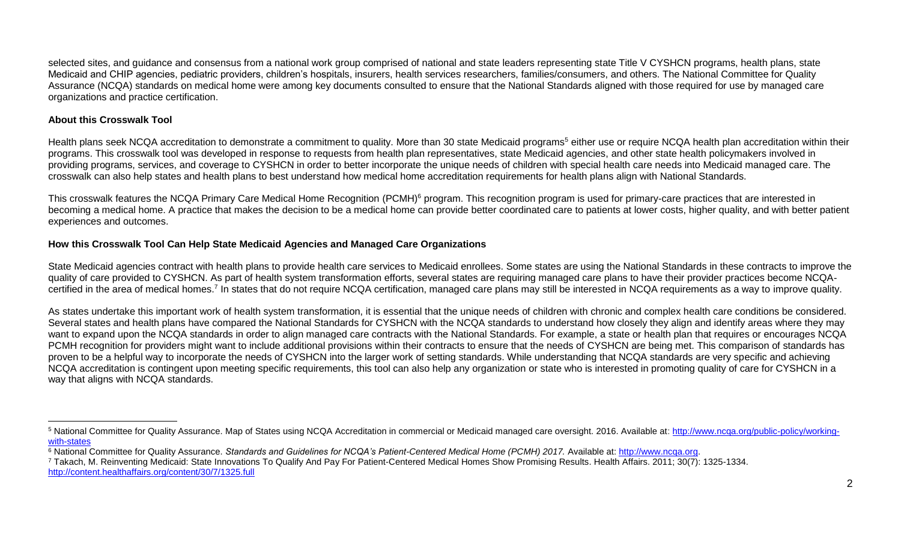selected sites, and guidance and consensus from a national work group comprised of national and state leaders representing state Title V CYSHCN programs, health plans, state Medicaid and CHIP agencies, pediatric providers, children's hospitals, insurers, health services researchers, families/consumers, and others. The National Committee for Quality Assurance (NCQA) standards on medical home were among key documents consulted to ensure that the National Standards aligned with those required for use by managed care organizations and practice certification.

# **About this Crosswalk Tool**

 $\overline{a}$ 

Health plans seek NCQA accreditation to demonstrate a commitment to quality. More than 30 state Medicaid programs<sup>5</sup> either use or require NCQA health plan accreditation within their programs. This crosswalk tool was developed in response to requests from health plan representatives, state Medicaid agencies, and other state health policymakers involved in providing programs, services, and coverage to CYSHCN in order to better incorporate the unique needs of children with special health care needs into Medicaid managed care. The crosswalk can also help states and health plans to best understand how medical home accreditation requirements for health plans align with National Standards.

This crosswalk features the NCQA Primary Care Medical Home Recognition (PCMH)<sup>6</sup> program. This recognition program is used for primary-care practices that are interested in becoming a medical home. A practice that makes the decision to be a medical home can provide better coordinated care to patients at lower costs, higher quality, and with better patient experiences and outcomes.

# **How this Crosswalk Tool Can Help State Medicaid Agencies and Managed Care Organizations**

State Medicaid agencies contract with health plans to provide health care services to Medicaid enrollees. Some states are using the National Standards in these contracts to improve the quality of care provided to CYSHCN. As part of health system transformation efforts, several states are requiring managed care plans to have their provider practices become NCQAcertified in the area of medical homes.<sup>7</sup> In states that do not require NCQA certification, managed care plans may still be interested in NCQA requirements as a way to improve quality.

As states undertake this important work of health system transformation, it is essential that the unique needs of children with chronic and complex health care conditions be considered. Several states and health plans have compared the National Standards for CYSHCN with the NCQA standards to understand how closely they align and identify areas where they may want to expand upon the NCQA standards in order to align managed care contracts with the National Standards. For example, a state or health plan that requires or encourages NCQA PCMH recognition for providers might want to include additional provisions within their contracts to ensure that the needs of CYSHCN are being met. This comparison of standards has proven to be a helpful way to incorporate the needs of CYSHCN into the larger work of setting standards. While understanding that NCQA standards are very specific and achieving NCQA accreditation is contingent upon meeting specific requirements, this tool can also help any organization or state who is interested in promoting quality of care for CYSHCN in a way that aligns with NCQA standards.

<sup>7</sup> Takach, M. Reinventing Medicaid: State Innovations To Qualify And Pay For Patient-Centered Medical Homes Show Promising Results. Health Affairs. 2011; 30(7): 1325-1334. <http://content.healthaffairs.org/content/30/7/1325.full>

<sup>&</sup>lt;sup>5</sup> National Committee for Quality Assurance. Map of States using NCQA Accreditation in commercial or Medicaid managed care oversight. 2016. Available at: [http://www.ncqa.org/public-policy/working](http://www.ncqa.org/public-policy/working-with-states)[with-states](http://www.ncqa.org/public-policy/working-with-states)

<sup>6</sup> National Committee for Quality Assurance. *Standards and Guidelines for NCQA's Patient-Centered Medical Home (PCMH) 2017.* Available at: [http://www.ncqa.org.](http://www.ncqa.org/)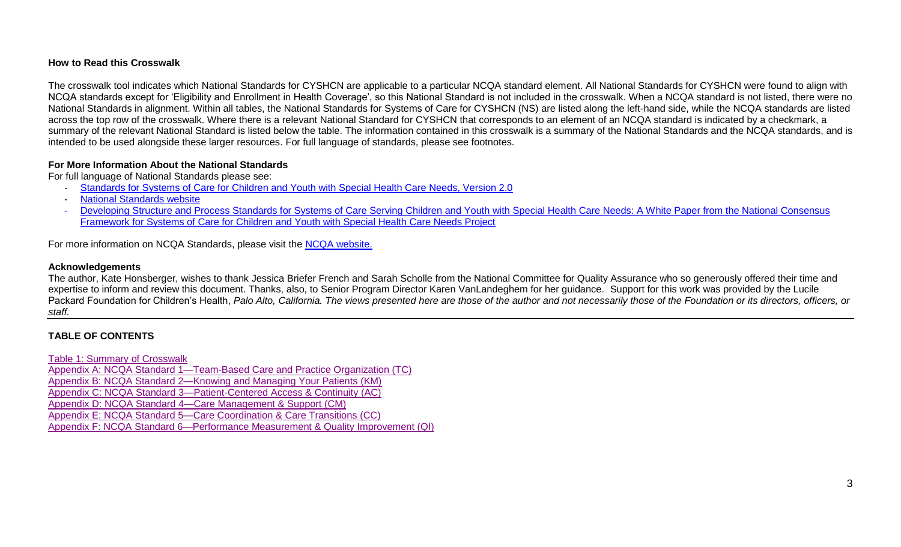## **How to Read this Crosswalk**

The crosswalk tool indicates which National Standards for CYSHCN are applicable to a particular NCQA standard element. All National Standards for CYSHCN were found to align with NCQA standards except for 'Eligibility and Enrollment in Health Coverage', so this National Standard is not included in the crosswalk. When a NCQA standard is not listed, there were no National Standards in alignment. Within all tables, the National Standards for Systems of Care for CYSHCN (NS) are listed along the left-hand side, while the NCQA standards are listed across the top row of the crosswalk. Where there is a relevant National Standard for CYSHCN that corresponds to an element of an NCQA standard is indicated by a checkmark, a summary of the relevant National Standard is listed below the table. The information contained in this crosswalk is a summary of the National Standards and the NCQA standards, and is intended to be used alongside these larger resources. For full language of standards, please see footnotes.

## **For More Information About the National Standards**

For full language of National Standards please see:

- [Standards for Systems of Care for Children and Youth with Special Health Care Needs, Version 2.0](http://bit.ly/2sRNRDj)
- **[National Standards website](http://cyshcnstandards.amchp.org/)**
- Developing Structure and Process Standards for Systems of Care Serving Children and Youth with Special Health Care Needs: A White Paper from the National Consensus [Framework for Systems of Care for Children and Youth with Special Health Care Needs Project](http://www.amchp.org/AboutAMCHP/Newsletters/member-briefs/Documents/Standards%20White%20Paper%20FINAL.pdf)

For more information on NCQA Standards, please visit the [NCQA website.](http://www.ncqa.org/)

## **Acknowledgements**

The author, Kate Honsberger, wishes to thank Jessica Briefer French and Sarah Scholle from the National Committee for Quality Assurance who so generously offered their time and expertise to inform and review this document. Thanks, also, to Senior Program Director Karen VanLandeghem for her guidance. Support for this work was provided by the Lucile Packard Foundation for Children's Health, Palo Alto, California. The views presented here are those of the author and not necessarily those of the Foundation or its directors, officers, or *staff.*

# **TABLE OF CONTENTS**

[Table 1: Summary](#page-2-0) of Crosswalk

Appendix A: NCQA [Standard 1—Team-Based Care and Practice Organization \(TC\)](#page-4-0) Appendix B: NCQA [Standard 2—Knowing and Managing Your Patients](#page-6-0) (KM) Appendix C: NCQA [Standard 3—Patient-Centered Access & Continuity](#page-12-0) (AC)

Appendix D: NCQA [Standard 4—Care Management & Support](#page-14-0) (CM)

Appendix E: NCQA [Standard 5—Care Coordination & Care Transitions](#page-16-0) (CC)

<span id="page-2-0"></span>Appendix F: NCQA [Standard 6—Performance Measurement & Quality Improvement \(QI\)](#page-20-0)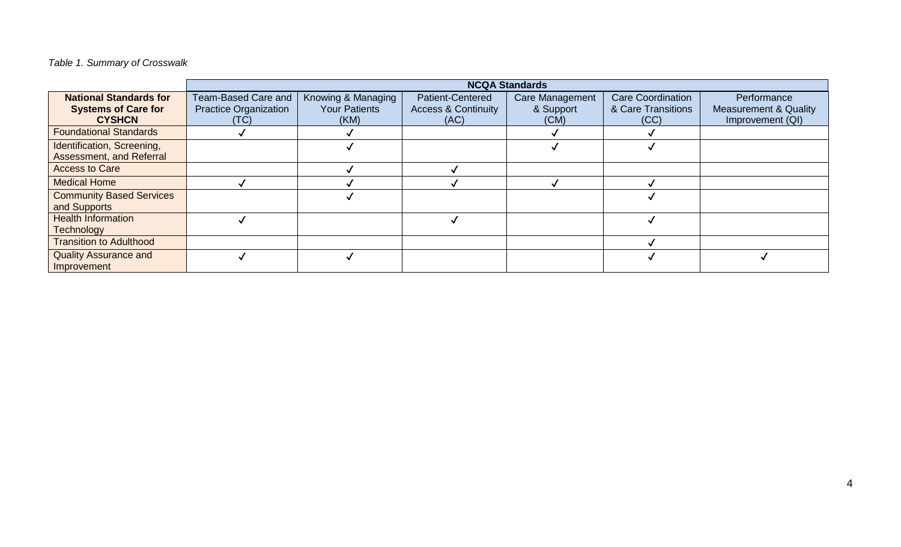*Table 1. Summary of Crosswalk*

|                                 |                              |                      |                                | <b>NCQA Standards</b> |                          |                                  |
|---------------------------------|------------------------------|----------------------|--------------------------------|-----------------------|--------------------------|----------------------------------|
| <b>National Standards for</b>   | Team-Based Care and          | Knowing & Managing   | <b>Patient-Centered</b>        | Care Management       | <b>Care Coordination</b> | Performance                      |
| <b>Systems of Care for</b>      | <b>Practice Organization</b> | <b>Your Patients</b> | <b>Access &amp; Continuity</b> | & Support             | & Care Transitions       | <b>Measurement &amp; Quality</b> |
| <b>CYSHCN</b>                   | (TC)                         | (KM)                 | (AC)                           | (CM)                  | (CC)                     | Improvement (QI)                 |
| <b>Foundational Standards</b>   |                              |                      |                                |                       |                          |                                  |
| Identification, Screening,      |                              |                      |                                |                       |                          |                                  |
| Assessment, and Referral        |                              |                      |                                |                       |                          |                                  |
| <b>Access to Care</b>           |                              |                      |                                |                       |                          |                                  |
| <b>Medical Home</b>             |                              |                      |                                |                       |                          |                                  |
| <b>Community Based Services</b> |                              |                      |                                |                       |                          |                                  |
| and Supports                    |                              |                      |                                |                       |                          |                                  |
| <b>Health Information</b>       |                              |                      |                                |                       |                          |                                  |
| <b>Technology</b>               |                              |                      |                                |                       |                          |                                  |
| <b>Transition to Adulthood</b>  |                              |                      |                                |                       |                          |                                  |
| <b>Quality Assurance and</b>    |                              |                      |                                |                       |                          |                                  |
| Improvement                     |                              |                      |                                |                       |                          |                                  |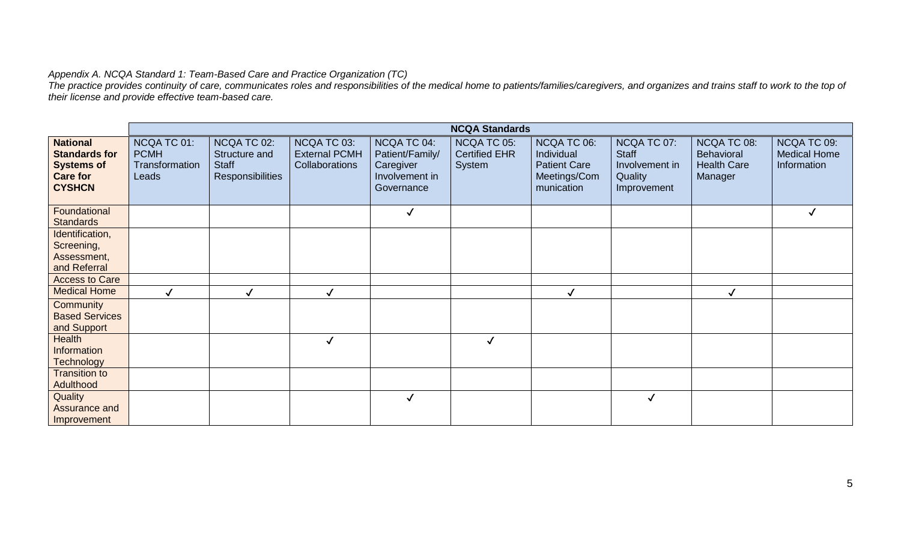## <span id="page-4-0"></span>*Appendix A. NCQA Standard 1: Team-Based Care and Practice Organization (TC)*

*The practice provides continuity of care, communicates roles and responsibilities of the medical home to patients/families/caregivers, and organizes and trains staff to work to the top of their license and provide effective team-based care.* 

|                                                                                                  |                                                       |                                                                  |                                                       |                                                                             | <b>NCQA Standards</b>                         |                                                                                |                                                                         |                                                                   |                                                   |
|--------------------------------------------------------------------------------------------------|-------------------------------------------------------|------------------------------------------------------------------|-------------------------------------------------------|-----------------------------------------------------------------------------|-----------------------------------------------|--------------------------------------------------------------------------------|-------------------------------------------------------------------------|-------------------------------------------------------------------|---------------------------------------------------|
| <b>National</b><br><b>Standards for</b><br><b>Systems of</b><br><b>Care for</b><br><b>CYSHCN</b> | NCQA TC 01:<br><b>PCMH</b><br>Transformation<br>Leads | NCQA TC 02:<br>Structure and<br><b>Staff</b><br>Responsibilities | NCQA TC 03:<br><b>External PCMH</b><br>Collaborations | NCQA TC 04:<br>Patient/Family/<br>Caregiver<br>Involvement in<br>Governance | NCQA TC 05:<br><b>Certified EHR</b><br>System | NCQA TC 06:<br>Individual<br><b>Patient Care</b><br>Meetings/Com<br>munication | NCQA TC 07:<br><b>Staff</b><br>Involvement in<br>Quality<br>Improvement | NCQA TC 08:<br><b>Behavioral</b><br><b>Health Care</b><br>Manager | NCQA TC 09:<br><b>Medical Home</b><br>Information |
| Foundational<br><b>Standards</b>                                                                 |                                                       |                                                                  |                                                       | $\checkmark$                                                                |                                               |                                                                                |                                                                         |                                                                   |                                                   |
| Identification,<br>Screening,<br>Assessment,<br>and Referral<br><b>Access to Care</b>            |                                                       |                                                                  |                                                       |                                                                             |                                               |                                                                                |                                                                         |                                                                   |                                                   |
| <b>Medical Home</b>                                                                              | √                                                     | $\checkmark$                                                     | $\checkmark$                                          |                                                                             |                                               | $\checkmark$                                                                   |                                                                         | $\checkmark$                                                      |                                                   |
| Community<br><b>Based Services</b><br>and Support                                                |                                                       |                                                                  |                                                       |                                                                             |                                               |                                                                                |                                                                         |                                                                   |                                                   |
| Health<br>Information<br><b>Technology</b>                                                       |                                                       |                                                                  | √                                                     |                                                                             | √                                             |                                                                                |                                                                         |                                                                   |                                                   |
| <b>Transition to</b><br>Adulthood                                                                |                                                       |                                                                  |                                                       |                                                                             |                                               |                                                                                |                                                                         |                                                                   |                                                   |
| Quality<br>Assurance and<br>Improvement                                                          |                                                       |                                                                  |                                                       | $\checkmark$                                                                |                                               |                                                                                | $\checkmark$                                                            |                                                                   |                                                   |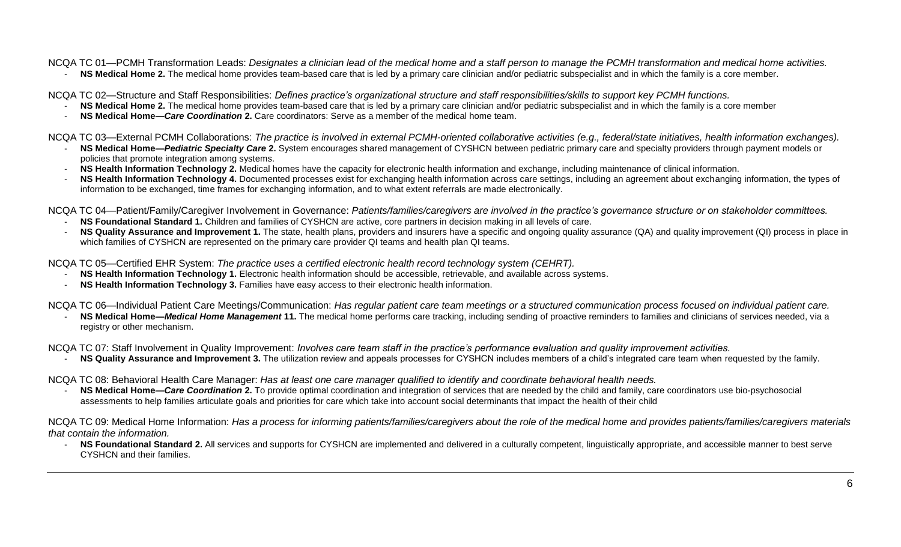NCQA TC 01—PCMH Transformation Leads: *Designates a clinician lead of the medical home and a staff person to manage the PCMH transformation and medical home activities.*

NS Medical Home 2. The medical home provides team-based care that is led by a primary care clinician and/or pediatric subspecialist and in which the family is a core member.

NCQA TC 02—Structure and Staff Responsibilities: *Defines practice's organizational structure and staff responsibilities/skills to support key PCMH functions.*

- **NS Medical Home 2.** The medical home provides team-based care that is led by a primary care clinician and/or pediatric subspecialist and in which the family is a core member
- **NS Medical Home—***Care Coordination* **2.** Care coordinators: Serve as a member of the medical home team.

NCQA TC 03—External PCMH Collaborations: *The practice is involved in external PCMH-oriented collaborative activities (e.g., federal/state initiatives, health information exchanges).*

- **NS Medical Home—***Pediatric Specialty Care* **2.** System encourages shared management of CYSHCN between pediatric primary care and specialty providers through payment models or policies that promote integration among systems.
- **NS Health Information Technology 2.** Medical homes have the capacity for electronic health information and exchange, including maintenance of clinical information.
- NS Health Information Technology 4. Documented processes exist for exchanging health information across care settings, including an agreement about exchanging information, the types of information to be exchanged, time frames for exchanging information, and to what extent referrals are made electronically.

NCQA TC 04—Patient/Family/Caregiver Involvement in Governance: *Patients/families/caregivers are involved in the practice's governance structure or on stakeholder committees.*

- **NS Foundational Standard 1.** Children and families of CYSHCN are active, core partners in decision making in all levels of care.
- NS Quality Assurance and Improvement 1. The state, health plans, providers and insurers have a specific and ongoing quality assurance (QA) and quality improvement (QI) process in place in which families of CYSHCN are represented on the primary care provider QI teams and health plan QI teams.

NCQA TC 05—Certified EHR System: *The practice uses a certified electronic health record technology system (CEHRT).*

- **NS Health Information Technology 1.** Electronic health information should be accessible, retrievable, and available across systems.
- **NS Health Information Technology 3.** Families have easy access to their electronic health information.

NCQA TC 06—Individual Patient Care Meetings/Communication: *Has regular patient care team meetings or a structured communication process focused on individual patient care.*

**NS Medical Home—***Medical Home Management* **11.** The medical home performs care tracking, including sending of proactive reminders to families and clinicians of services needed, via a registry or other mechanism.

NCQA TC 07: Staff Involvement in Quality Improvement: *Involves care team staff in the practice's performance evaluation and quality improvement activities.*

- NS Quality Assurance and Improvement 3. The utilization review and appeals processes for CYSHCN includes members of a child's integrated care team when requested by the family.
- NCQA TC 08: Behavioral Health Care Manager: *Has at least one care manager qualified to identify and coordinate behavioral health needs.*
	- **NS Medical Home—***Care Coordination* **2.** To provide optimal coordination and integration of services that are needed by the child and family, care coordinators use bio-psychosocial assessments to help families articulate goals and priorities for care which take into account social determinants that impact the health of their child

NCQA TC 09: Medical Home Information: *Has a process for informing patients/families/caregivers about the role of the medical home and provides patients/families/caregivers materials that contain the information.*

- NS Foundational Standard 2. All services and supports for CYSHCN are implemented and delivered in a culturally competent, linguistically appropriate, and accessible manner to best serve CYSHCN and their families.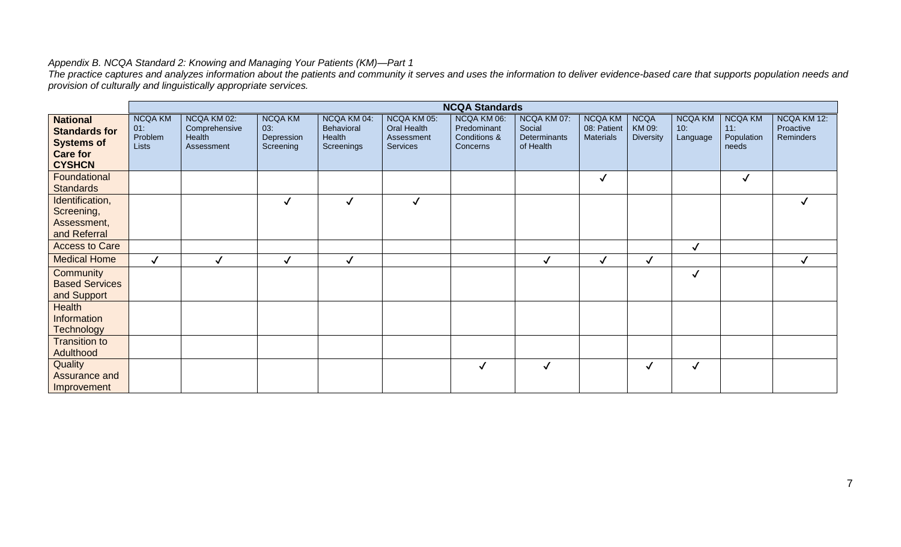#### <span id="page-6-0"></span>*Appendix B. NCQA Standard 2: Knowing and Managing Your Patients (KM)—Part 1*

*The practice captures and analyzes information about the patients and community it serves and uses the information to deliver evidence-based care that supports population needs and provision of culturally and linguistically appropriate services.* 

|                                                                                                  |                                           |                                                      |                                                  |                                                          |                                                             | <b>NCQA Standards</b>                                  |                                                    |                                                   |                                           |                                   |                                              |                                       |
|--------------------------------------------------------------------------------------------------|-------------------------------------------|------------------------------------------------------|--------------------------------------------------|----------------------------------------------------------|-------------------------------------------------------------|--------------------------------------------------------|----------------------------------------------------|---------------------------------------------------|-------------------------------------------|-----------------------------------|----------------------------------------------|---------------------------------------|
| <b>National</b><br><b>Standards for</b><br><b>Systems of</b><br><b>Care for</b><br><b>CYSHCN</b> | <b>NCQA KM</b><br>01:<br>Problem<br>Lists | NCQA KM 02:<br>Comprehensive<br>Health<br>Assessment | <b>NCQA KM</b><br>03:<br>Depression<br>Screening | NCQA KM 04:<br><b>Behavioral</b><br>Health<br>Screenings | NCQA KM 05:<br><b>Oral Health</b><br>Assessment<br>Services | NCQA KM 06:<br>Predominant<br>Conditions &<br>Concerns | NCQA KM 07:<br>Social<br>Determinants<br>of Health | <b>NCQA KM</b><br>08: Patient<br><b>Materials</b> | <b>NCQA</b><br>KM 09:<br><b>Diversity</b> | <b>NCQA KM</b><br>10:<br>Language | <b>NCQA KM</b><br>11:<br>Population<br>needs | NCQA KM 12:<br>Proactive<br>Reminders |
| Foundational<br><b>Standards</b>                                                                 |                                           |                                                      |                                                  |                                                          |                                                             |                                                        |                                                    | $\checkmark$                                      |                                           |                                   | $\checkmark$                                 |                                       |
| Identification,<br>Screening,<br>Assessment,<br>and Referral                                     |                                           |                                                      | $\checkmark$                                     | $\checkmark$                                             | $\checkmark$                                                |                                                        |                                                    |                                                   |                                           |                                   |                                              | $\checkmark$                          |
| <b>Access to Care</b>                                                                            |                                           |                                                      |                                                  |                                                          |                                                             |                                                        |                                                    |                                                   |                                           | $\checkmark$                      |                                              |                                       |
| <b>Medical Home</b>                                                                              | $\checkmark$                              | $\checkmark$                                         | $\checkmark$                                     | $\checkmark$                                             |                                                             |                                                        | √                                                  | $\checkmark$                                      | ✓                                         |                                   |                                              | $\checkmark$                          |
| Community<br><b>Based Services</b><br>and Support                                                |                                           |                                                      |                                                  |                                                          |                                                             |                                                        |                                                    |                                                   |                                           | $\checkmark$                      |                                              |                                       |
| Health<br><b>Information</b><br><b>Technology</b>                                                |                                           |                                                      |                                                  |                                                          |                                                             |                                                        |                                                    |                                                   |                                           |                                   |                                              |                                       |
| <b>Transition to</b><br>Adulthood                                                                |                                           |                                                      |                                                  |                                                          |                                                             |                                                        |                                                    |                                                   |                                           |                                   |                                              |                                       |
| Quality<br>Assurance and<br>Improvement                                                          |                                           |                                                      |                                                  |                                                          |                                                             | ✓                                                      | $\checkmark$                                       |                                                   | $\checkmark$                              | $\checkmark$                      |                                              |                                       |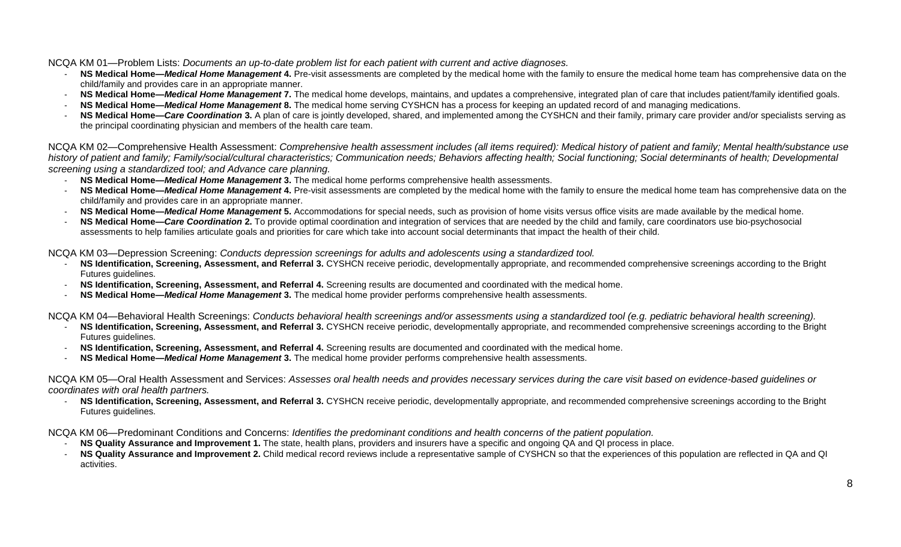NCQA KM 01—Problem Lists: *Documents an up-to-date problem list for each patient with current and active diagnoses.*

- **NS Medical Home—***Medical Home Management* **4.** Pre-visit assessments are completed by the medical home with the family to ensure the medical home team has comprehensive data on the child/family and provides care in an appropriate manner.
- NS Medical Home—*Medical Home Management* 7. The medical home develops, maintains, and updates a comprehensive, integrated plan of care that includes patient/family identified goals.
- **NS Medical Home—***Medical Home Management* **8.** The medical home serving CYSHCN has a process for keeping an updated record of and managing medications.
- NS Medical Home—Care Coordination 3. A plan of care is jointly developed, shared, and implemented among the CYSHCN and their family, primary care provider and/or specialists serving as the principal coordinating physician and members of the health care team.

NCQA KM 02—Comprehensive Health Assessment: *Comprehensive health assessment includes (all items required): Medical history of patient and family; Mental health/substance use history of patient and family; Family/social/cultural characteristics; Communication needs; Behaviors affecting health; Social functioning; Social determinants of health; Developmental screening using a standardized tool; and Advance care planning.* 

- **NS Medical Home—***Medical Home Management* **3.** The medical home performs comprehensive health assessments.
- **NS Medical Home—***Medical Home Management* **4.** Pre-visit assessments are completed by the medical home with the family to ensure the medical home team has comprehensive data on the child/family and provides care in an appropriate manner.
- **NS Medical Home—***Medical Home Management* **5.** Accommodations for special needs, such as provision of home visits versus office visits are made available by the medical home.
- **NS Medical Home—Care Coordination 2.** To provide optimal coordination and integration of services that are needed by the child and family, care coordinators use bio-psychosocial assessments to help families articulate goals and priorities for care which take into account social determinants that impact the health of their child.

NCQA KM 03—Depression Screening: *Conducts depression screenings for adults and adolescents using a standardized tool.*

- **NS Identification, Screening, Assessment, and Referral 3.** CYSHCN receive periodic, developmentally appropriate, and recommended comprehensive screenings according to the Bright Futures guidelines.
- **NS Identification, Screening, Assessment, and Referral 4.** Screening results are documented and coordinated with the medical home.
- **NS Medical Home—***Medical Home Management* **3.** The medical home provider performs comprehensive health assessments.

NCQA KM 04—Behavioral Health Screenings: *Conducts behavioral health screenings and/or assessments using a standardized tool (e.g. pediatric behavioral health screening).*

- **NS Identification, Screening, Assessment, and Referral 3.** CYSHCN receive periodic, developmentally appropriate, and recommended comprehensive screenings according to the Bright Futures guidelines.
- **NS Identification, Screening, Assessment, and Referral 4.** Screening results are documented and coordinated with the medical home.
- **NS Medical Home—***Medical Home Management* **3.** The medical home provider performs comprehensive health assessments.

NCQA KM 05—Oral Health Assessment and Services: *Assesses oral health needs and provides necessary services during the care visit based on evidence-based guidelines or coordinates with oral health partners.*

**NS Identification, Screening, Assessment, and Referral 3.** CYSHCN receive periodic, developmentally appropriate, and recommended comprehensive screenings according to the Bright Futures guidelines.

NCQA KM 06—Predominant Conditions and Concerns: *Identifies the predominant conditions and health concerns of the patient population.*

- **NS Quality Assurance and Improvement 1.** The state, health plans, providers and insurers have a specific and ongoing QA and QI process in place.
- **NS Quality Assurance and Improvement 2.** Child medical record reviews include a representative sample of CYSHCN so that the experiences of this population are reflected in QA and QI activities.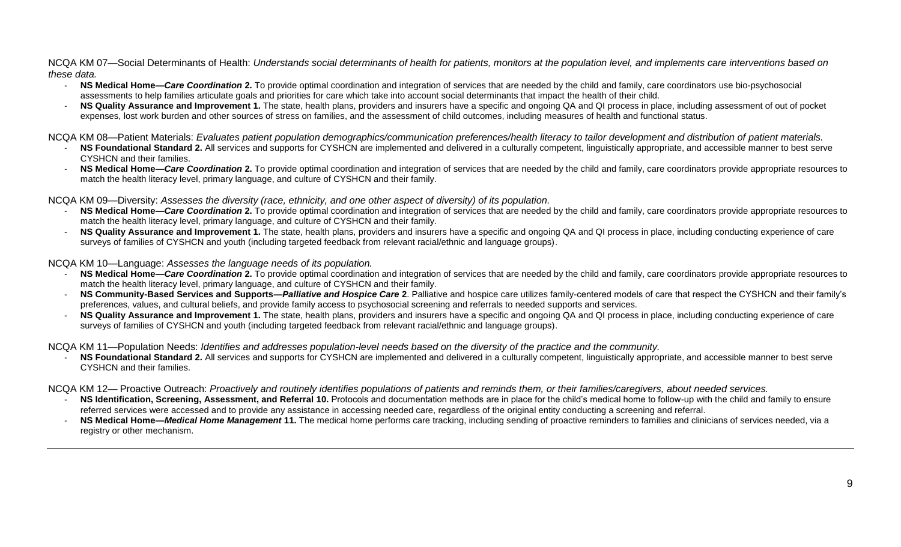NCQA KM 07—Social Determinants of Health: *Understands social determinants of health for patients, monitors at the population level, and implements care interventions based on these data.*

- **NS Medical Home—***Care Coordination* **2.** To provide optimal coordination and integration of services that are needed by the child and family, care coordinators use bio-psychosocial assessments to help families articulate goals and priorities for care which take into account social determinants that impact the health of their child.
- NS Quality Assurance and Improvement 1. The state, health plans, providers and insurers have a specific and ongoing QA and QI process in place, including assessment of out of pocket expenses, lost work burden and other sources of stress on families, and the assessment of child outcomes, including measures of health and functional status.

NCQA KM 08—Patient Materials: *Evaluates patient population demographics/communication preferences/health literacy to tailor development and distribution of patient materials.*

- NS Foundational Standard 2. All services and supports for CYSHCN are implemented and delivered in a culturally competent, linguistically appropriate, and accessible manner to best serve CYSHCN and their families.
- **NS Medical Home—Care Coordination 2.** To provide optimal coordination and integration of services that are needed by the child and family, care coordinators provide appropriate resources to match the health literacy level, primary language, and culture of CYSHCN and their family.

NCQA KM 09—Diversity: *Assesses the diversity (race, ethnicity, and one other aspect of diversity) of its population.*

- **NS Medical Home—Care Coordination 2.** To provide optimal coordination and integration of services that are needed by the child and family, care coordinators provide appropriate resources to match the health literacy level, primary language, and culture of CYSHCN and their family.
- NS Quality Assurance and Improvement 1. The state, health plans, providers and insurers have a specific and ongoing QA and QI process in place, including conducting experience of care surveys of families of CYSHCN and youth (including targeted feedback from relevant racial/ethnic and language groups).

NCQA KM 10—Language: *Assesses the language needs of its population.*

- NS Medical Home—Care Coordination 2. To provide optimal coordination and integration of services that are needed by the child and family, care coordinators provide appropriate resources to match the health literacy level, primary language, and culture of CYSHCN and their family.
- **NS Community-Based Services and Supports—***Palliative and Hospice Care* **2**. Palliative and hospice care utilizes family-centered models of care that respect the CYSHCN and their family's preferences, values, and cultural beliefs, and provide family access to psychosocial screening and referrals to needed supports and services.
- **NS Quality Assurance and Improvement 1.** The state, health plans, providers and insurers have a specific and ongoing QA and QI process in place, including conducting experience of care surveys of families of CYSHCN and youth (including targeted feedback from relevant racial/ethnic and language groups).

NCQA KM 11—Population Needs: *Identifies and addresses population-level needs based on the diversity of the practice and the community.*

NS Foundational Standard 2. All services and supports for CYSHCN are implemented and delivered in a culturally competent, linguistically appropriate, and accessible manner to best serve CYSHCN and their families.

NCQA KM 12— Proactive Outreach: *Proactively and routinely identifies populations of patients and reminds them, or their families/caregivers, about needed services.*

- NS Identification, Screening, Assessment, and Referral 10. Protocols and documentation methods are in place for the child's medical home to follow-up with the child and family to ensure referred services were accessed and to provide any assistance in accessing needed care, regardless of the original entity conducting a screening and referral.
- **NS Medical Home—***Medical Home Management* **11.** The medical home performs care tracking, including sending of proactive reminders to families and clinicians of services needed, via a registry or other mechanism.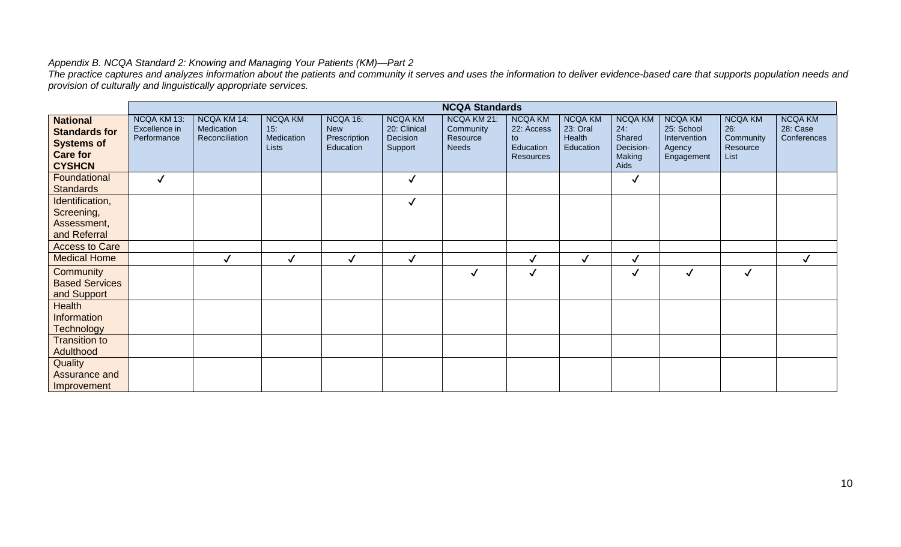#### *Appendix B. NCQA Standard 2: Knowing and Managing Your Patients (KM)—Part 2*

*The practice captures and analyzes information about the patients and community it serves and uses the information to deliver evidence-based care that supports population needs and provision of culturally and linguistically appropriate services.* 

|                                                                                                  |                                             |                                             |                                                     |                                                     |                                                       | <b>NCQA Standards</b>                                |                                                                     |                                                   |                                                                |                                                                      |                                                        |                                           |
|--------------------------------------------------------------------------------------------------|---------------------------------------------|---------------------------------------------|-----------------------------------------------------|-----------------------------------------------------|-------------------------------------------------------|------------------------------------------------------|---------------------------------------------------------------------|---------------------------------------------------|----------------------------------------------------------------|----------------------------------------------------------------------|--------------------------------------------------------|-------------------------------------------|
| <b>National</b><br><b>Standards for</b><br><b>Systems of</b><br><b>Care for</b><br><b>CYSHCN</b> | NCQA KM 13:<br>Excellence in<br>Performance | NCQA KM 14:<br>Medication<br>Reconciliation | <b>NCQA KM</b><br>15.<br>Medication<br><b>Lists</b> | NCQA 16:<br><b>New</b><br>Prescription<br>Education | <b>NCQA KM</b><br>20: Clinical<br>Decision<br>Support | NCQA KM 21:<br>Community<br>Resource<br><b>Needs</b> | <b>NCQA KM</b><br>22: Access<br>to<br>Education<br><b>Resources</b> | <b>NCQA KM</b><br>23: Oral<br>Health<br>Education | <b>NCQA KM</b><br>24:<br>Shared<br>Decision-<br>Making<br>Aids | <b>NCQA KM</b><br>25: School<br>Intervention<br>Agency<br>Engagement | <b>NCQA KM</b><br>26:<br>Community<br>Resource<br>List | <b>NCQA KM</b><br>28: Case<br>Conferences |
| Foundational<br><b>Standards</b>                                                                 | $\checkmark$                                |                                             |                                                     |                                                     | $\checkmark$                                          |                                                      |                                                                     |                                                   | $\checkmark$                                                   |                                                                      |                                                        |                                           |
| Identification,<br>Screening,<br>Assessment,<br>and Referral                                     |                                             |                                             |                                                     |                                                     | $\checkmark$                                          |                                                      |                                                                     |                                                   |                                                                |                                                                      |                                                        |                                           |
| <b>Access to Care</b>                                                                            |                                             |                                             |                                                     |                                                     |                                                       |                                                      |                                                                     |                                                   |                                                                |                                                                      |                                                        |                                           |
| <b>Medical Home</b>                                                                              |                                             |                                             | $\checkmark$                                        | $\checkmark$                                        | $\checkmark$                                          |                                                      | √                                                                   | √                                                 | $\checkmark$                                                   |                                                                      |                                                        | $\checkmark$                              |
| Community<br><b>Based Services</b><br>and Support                                                |                                             |                                             |                                                     |                                                     |                                                       | $\checkmark$                                         | $\checkmark$                                                        |                                                   | $\checkmark$                                                   | $\checkmark$                                                         | $\checkmark$                                           |                                           |
| <b>Health</b><br>Information<br><b>Technology</b>                                                |                                             |                                             |                                                     |                                                     |                                                       |                                                      |                                                                     |                                                   |                                                                |                                                                      |                                                        |                                           |
| <b>Transition to</b><br>Adulthood                                                                |                                             |                                             |                                                     |                                                     |                                                       |                                                      |                                                                     |                                                   |                                                                |                                                                      |                                                        |                                           |
| Quality<br>Assurance and<br>Improvement                                                          |                                             |                                             |                                                     |                                                     |                                                       |                                                      |                                                                     |                                                   |                                                                |                                                                      |                                                        |                                           |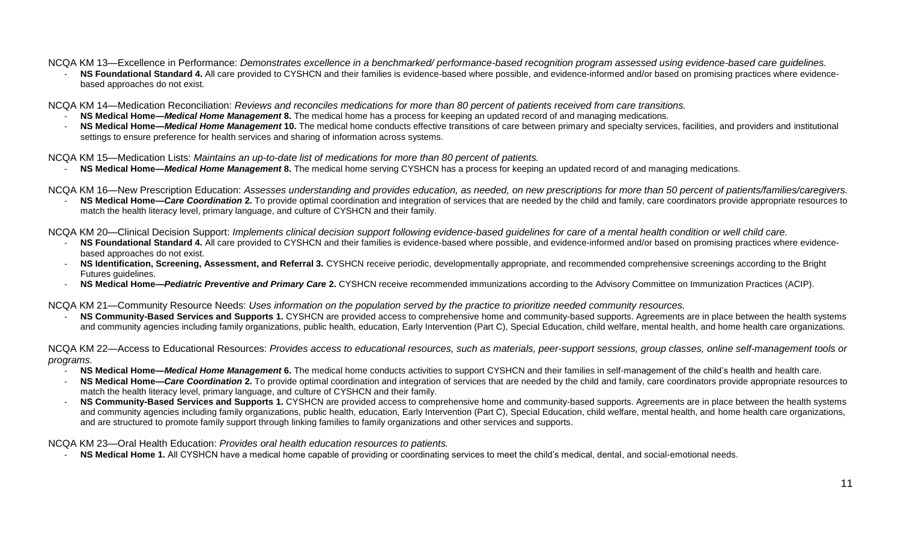NCQA KM 13—Excellence in Performance: *Demonstrates excellence in a benchmarked/ performance-based recognition program assessed using evidence-based care guidelines.*

NS Foundational Standard 4. All care provided to CYSHCN and their families is evidence-based where possible, and evidence-informed and/or based on promising practices where evidencebased approaches do not exist.

NCQA KM 14—Medication Reconciliation: *Reviews and reconciles medications for more than 80 percent of patients received from care transitions.*

- **NS Medical Home—***Medical Home Management* **8.** The medical home has a process for keeping an updated record of and managing medications.
- NS Medical Home—*Medical Home Management* 10. The medical home conducts effective transitions of care between primary and specialty services, facilities, and providers and institutional settings to ensure preference for health services and sharing of information across systems.

NCQA KM 15—Medication Lists: *Maintains an up-to-date list of medications for more than 80 percent of patients.*

- **NS Medical Home—***Medical Home Management* **8.** The medical home serving CYSHCN has a process for keeping an updated record of and managing medications.
- NCQA KM 16—New Prescription Education: *Assesses understanding and provides education, as needed, on new prescriptions for more than 50 percent of patients/families/caregivers.*
	- NS Medical Home-Care Coordination 2. To provide optimal coordination and integration of services that are needed by the child and family, care coordinators provide appropriate resources to match the health literacy level, primary language, and culture of CYSHCN and their family.

NCQA KM 20—Clinical Decision Support: *Implements clinical decision support following evidence-based guidelines for care of a mental health condition or well child care.*

- **NS Foundational Standard 4.** All care provided to CYSHCN and their families is evidence-based where possible, and evidence-informed and/or based on promising practices where evidencebased approaches do not exist.
- **NS Identification, Screening, Assessment, and Referral 3.** CYSHCN receive periodic, developmentally appropriate, and recommended comprehensive screenings according to the Bright Futures guidelines.
- **NS Medical Home—***Pediatric Preventive and Primary Care* **2.** CYSHCN receive recommended immunizations according to the Advisory Committee on Immunization Practices (ACIP).

NCQA KM 21—Community Resource Needs: *Uses information on the population served by the practice to prioritize needed community resources.*

- **NS Community-Based Services and Supports 1.** CYSHCN are provided access to comprehensive home and community-based supports. Agreements are in place between the health systems and community agencies including family organizations, public health, education, Early Intervention (Part C), Special Education, child welfare, mental health, and home health care organizations.

NCQA KM 22—Access to Educational Resources: *Provides access to educational resources, such as materials, peer-support sessions, group classes, online self-management tools or programs.*

- **NS Medical Home—***Medical Home Management* **6.** The medical home conducts activities to support CYSHCN and their families in self-management of the child's health and health care.
- **NS Medical Home—Care Coordination 2.** To provide optimal coordination and integration of services that are needed by the child and family, care coordinators provide appropriate resources to match the health literacy level, primary language, and culture of CYSHCN and their family.
- **NS Community-Based Services and Supports 1.** CYSHCN are provided access to comprehensive home and community-based supports. Agreements are in place between the health systems and community agencies including family organizations, public health, education, Early Intervention (Part C), Special Education, child welfare, mental health, and home health care organizations, and are structured to promote family support through linking families to family organizations and other services and supports.

NCQA KM 23—Oral Health Education: *Provides oral health education resources to patients.*

NS Medical Home 1. All CYSHCN have a medical home capable of providing or coordinating services to meet the child's medical, dental, and social-emotional needs.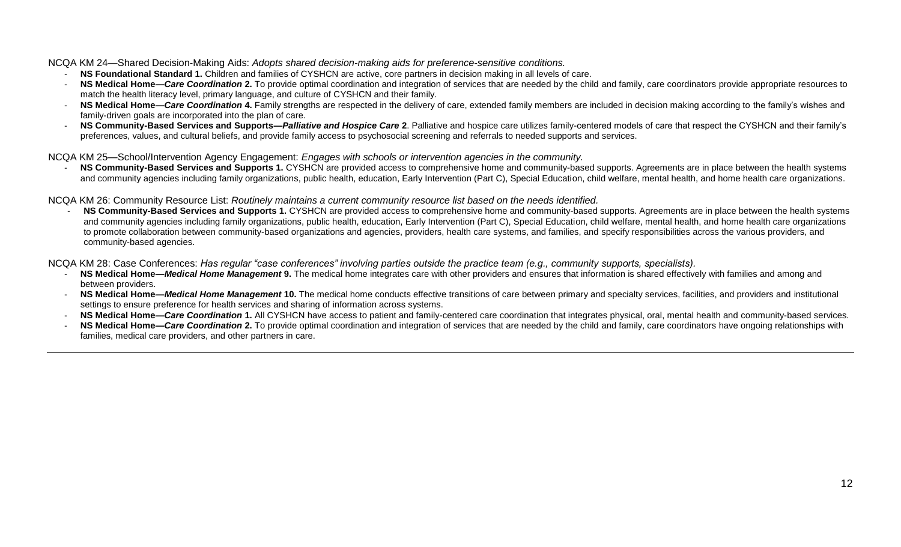NCQA KM 24—Shared Decision-Making Aids: *Adopts shared decision-making aids for preference-sensitive conditions.*

- **NS Foundational Standard 1.** Children and families of CYSHCN are active, core partners in decision making in all levels of care.
- **NS Medical Home—Care Coordination 2.** To provide optimal coordination and integration of services that are needed by the child and family, care coordinators provide appropriate resources to match the health literacy level, primary language, and culture of CYSHCN and their family.
- NS Medical Home—Care Coordination 4. Family strengths are respected in the delivery of care, extended family members are included in decision making according to the family's wishes and family-driven goals are incorporated into the plan of care.
- **NS Community-Based Services and Supports—***Palliative and Hospice Care* **2**. Palliative and hospice care utilizes family-centered models of care that respect the CYSHCN and their family's preferences, values, and cultural beliefs, and provide family access to psychosocial screening and referrals to needed supports and services.

NCQA KM 25—School/Intervention Agency Engagement: *Engages with schools or intervention agencies in the community.*

- **NS Community-Based Services and Supports 1.** CYSHCN are provided access to comprehensive home and community-based supports. Agreements are in place between the health systems and community agencies including family organizations, public health, education, Early Intervention (Part C), Special Education, child welfare, mental health, and home health care organizations.

NCQA KM 26: Community Resource List: *Routinely maintains a current community resource list based on the needs identified.*

- **NS Community-Based Services and Supports 1.** CYSHCN are provided access to comprehensive home and community-based supports. Agreements are in place between the health systems and community agencies including family organizations, public health, education, Early Intervention (Part C), Special Education, child welfare, mental health, and home health care organizations to promote collaboration between community-based organizations and agencies, providers, health care systems, and families, and specify responsibilities across the various providers, and community-based agencies.

NCQA KM 28: Case Conferences: *Has regular "case conferences" involving parties outside the practice team (e.g., community supports, specialists).*

- NS Medical Home-Medical Home Management 9. The medical home integrates care with other providers and ensures that information is shared effectively with families and among and between providers.
- **NS Medical Home—***Medical Home Management* **10.** The medical home conducts effective transitions of care between primary and specialty services, facilities, and providers and institutional settings to ensure preference for health services and sharing of information across systems.
- **NS Medical Home—Care Coordination 1.** All CYSHCN have access to patient and family-centered care coordination that integrates physical, oral, mental health and community-based services.
- NS Medical Home—Care Coordination 2. To provide optimal coordination and integration of services that are needed by the child and family, care coordinators have ongoing relationships with families, medical care providers, and other partners in care.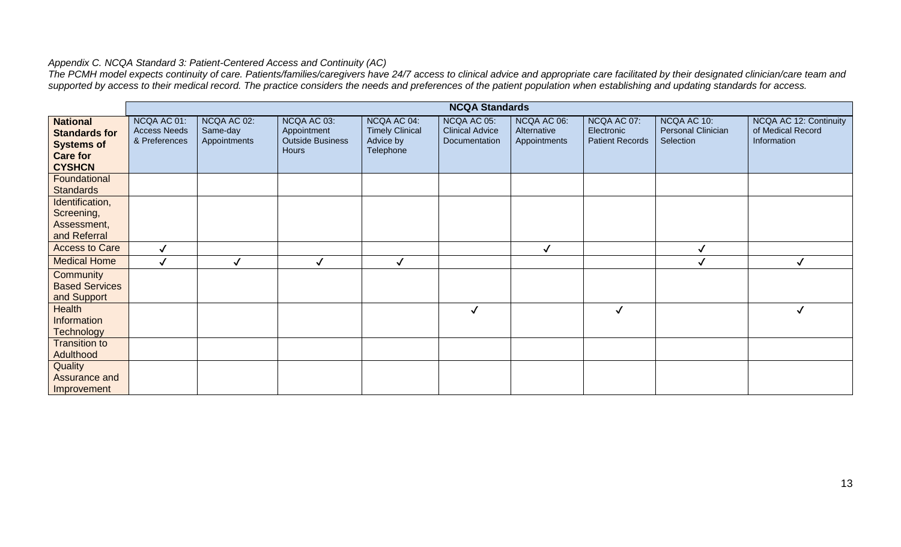# <span id="page-12-0"></span>*Appendix C. NCQA Standard 3: Patient-Centered Access and Continuity (AC)*

*The PCMH model expects continuity of care. Patients/families/caregivers have 24/7 access to clinical advice and appropriate care facilitated by their designated clinician/care team and supported by access to their medical record. The practice considers the needs and preferences of the patient population when establishing and updating standards for access.* 

|                                                                                                  |                                                     |                                         |                                                                       |                                                                 | <b>NCQA Standards</b>                                  |                                            |                                                     |                                                |                                                            |
|--------------------------------------------------------------------------------------------------|-----------------------------------------------------|-----------------------------------------|-----------------------------------------------------------------------|-----------------------------------------------------------------|--------------------------------------------------------|--------------------------------------------|-----------------------------------------------------|------------------------------------------------|------------------------------------------------------------|
| <b>National</b><br><b>Standards for</b><br><b>Systems of</b><br><b>Care for</b><br><b>CYSHCN</b> | NCQA AC 01:<br><b>Access Needs</b><br>& Preferences | NCQA AC 02:<br>Same-day<br>Appointments | NCQA AC 03:<br>Appointment<br><b>Outside Business</b><br><b>Hours</b> | NCQA AC 04:<br><b>Timely Clinical</b><br>Advice by<br>Telephone | NCQA AC 05:<br><b>Clinical Advice</b><br>Documentation | NCQA AC 06:<br>Alternative<br>Appointments | NCQA AC 07:<br>Electronic<br><b>Patient Records</b> | NCQA AC 10:<br>Personal Clinician<br>Selection | NCQA AC 12: Continuity<br>of Medical Record<br>Information |
| Foundational<br><b>Standards</b>                                                                 |                                                     |                                         |                                                                       |                                                                 |                                                        |                                            |                                                     |                                                |                                                            |
| Identification,<br>Screening,<br>Assessment,<br>and Referral                                     |                                                     |                                         |                                                                       |                                                                 |                                                        |                                            |                                                     |                                                |                                                            |
| <b>Access to Care</b>                                                                            | $\checkmark$                                        |                                         |                                                                       |                                                                 |                                                        | $\checkmark$                               |                                                     | $\checkmark$                                   |                                                            |
| <b>Medical Home</b>                                                                              |                                                     |                                         |                                                                       |                                                                 |                                                        |                                            |                                                     |                                                |                                                            |
| Community<br><b>Based Services</b><br>and Support                                                |                                                     |                                         |                                                                       |                                                                 |                                                        |                                            |                                                     |                                                |                                                            |
| Health<br>Information<br><b>Technology</b>                                                       |                                                     |                                         |                                                                       |                                                                 | $\checkmark$                                           |                                            |                                                     |                                                |                                                            |
| <b>Transition to</b><br>Adulthood                                                                |                                                     |                                         |                                                                       |                                                                 |                                                        |                                            |                                                     |                                                |                                                            |
| Quality<br>Assurance and<br>Improvement                                                          |                                                     |                                         |                                                                       |                                                                 |                                                        |                                            |                                                     |                                                |                                                            |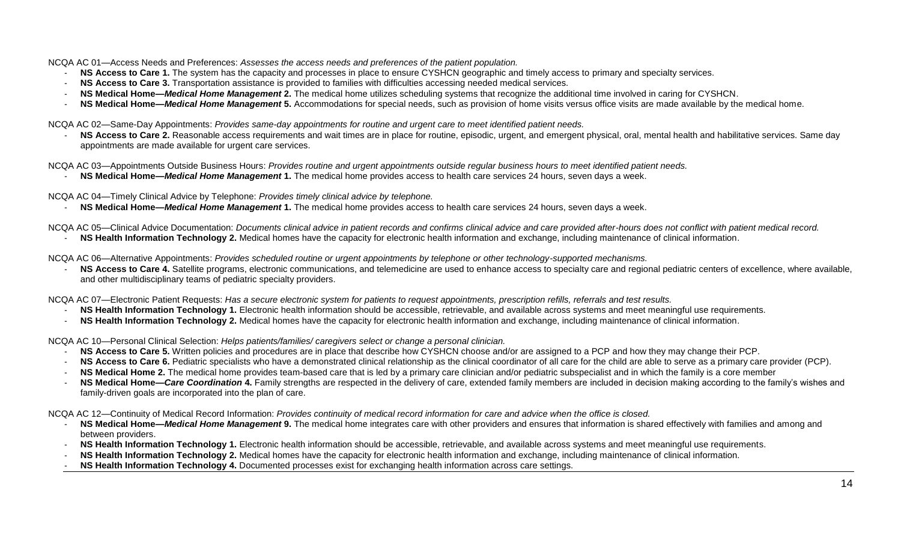NCQA AC 01—Access Needs and Preferences: *Assesses the access needs and preferences of the patient population.*

- NS Access to Care 1. The system has the capacity and processes in place to ensure CYSHCN geographic and timely access to primary and specialty services.
- **NS Access to Care 3.** Transportation assistance is provided to families with difficulties accessing needed medical services.
- **NS Medical Home—***Medical Home Management* **2.** The medical home utilizes scheduling systems that recognize the additional time involved in caring for CYSHCN.
- **NS Medical Home—***Medical Home Management* **5.** Accommodations for special needs, such as provision of home visits versus office visits are made available by the medical home.

NCQA AC 02—Same-Day Appointments: *Provides same-day appointments for routine and urgent care to meet identified patient needs.*

NS Access to Care 2. Reasonable access requirements and wait times are in place for routine, episodic, urgent, and emergent physical, oral, mental health and habilitative services. Same day appointments are made available for urgent care services.

NCQA AC 03—Appointments Outside Business Hours: *Provides routine and urgent appointments outside regular business hours to meet identified patient needs.*

- **NS Medical Home—***Medical Home Management* **1.** The medical home provides access to health care services 24 hours, seven days a week.

NCQA AC 04—Timely Clinical Advice by Telephone: *Provides timely clinical advice by telephone.*

- **NS Medical Home—***Medical Home Management* **1.** The medical home provides access to health care services 24 hours, seven days a week.

NCQA AC 05—Clinical Advice Documentation: *Documents clinical advice in patient records and confirms clinical advice and care provided after-hours does not conflict with patient medical record.* 

- **NS Health Information Technology 2.** Medical homes have the capacity for electronic health information and exchange, including maintenance of clinical information.

NCQA AC 06—Alternative Appointments: *Provides scheduled routine or urgent appointments by telephone or other technology-supported mechanisms.*

NS Access to Care 4. Satellite programs, electronic communications, and telemedicine are used to enhance access to specialty care and regional pediatric centers of excellence, where available, and other multidisciplinary teams of pediatric specialty providers.

NCQA AC 07—Electronic Patient Requests: *Has a secure electronic system for patients to request appointments, prescription refills, referrals and test results.*

- NS Health Information Technology 1. Electronic health information should be accessible, retrievable, and available across systems and meet meaningful use requirements.
- **NS Health Information Technology 2.** Medical homes have the capacity for electronic health information and exchange, including maintenance of clinical information.

NCQA AC 10—Personal Clinical Selection: *Helps patients/families/ caregivers select or change a personal clinician.*

- **NS Access to Care 5.** Written policies and procedures are in place that describe how CYSHCN choose and/or are assigned to a PCP and how they may change their PCP.
- **NS Access to Care 6.** Pediatric specialists who have a demonstrated clinical relationship as the clinical coordinator of all care for the child are able to serve as a primary care provider (PCP).
- **NS Medical Home 2.** The medical home provides team-based care that is led by a primary care clinician and/or pediatric subspecialist and in which the family is a core member
- NS Medical Home—Care Coordination 4. Family strengths are respected in the delivery of care, extended family members are included in decision making according to the family's wishes and family-driven goals are incorporated into the plan of care.

NCQA AC 12—Continuity of Medical Record Information: *Provides continuity of medical record information for care and advice when the office is closed.*

- **NS Medical Home—***Medical Home Management* **9.** The medical home integrates care with other providers and ensures that information is shared effectively with families and among and between providers.
- NS Health Information Technology 1. Electronic health information should be accessible, retrievable, and available across systems and meet meaningful use requirements.
- **NS Health Information Technology 2.** Medical homes have the capacity for electronic health information and exchange, including maintenance of clinical information.
- **NS Health Information Technology 4.** Documented processes exist for exchanging health information across care settings.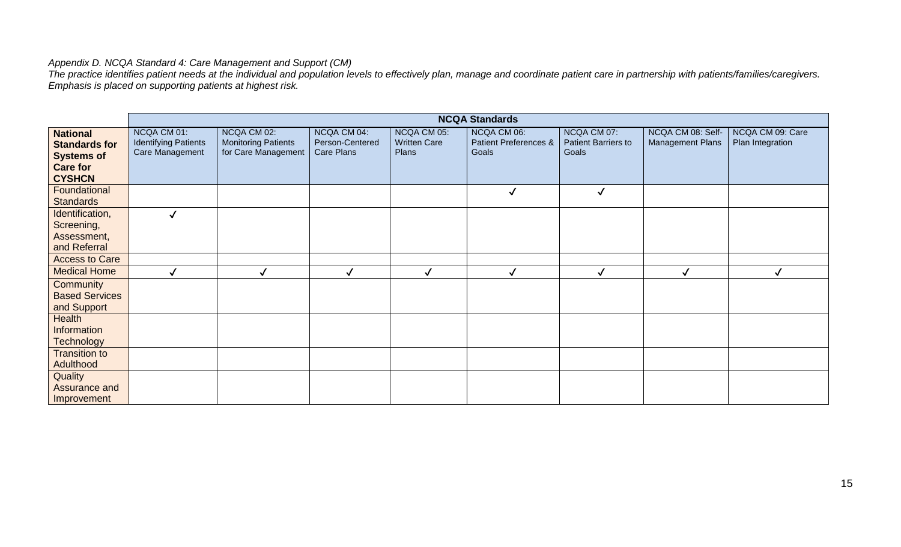#### <span id="page-14-0"></span>*Appendix D. NCQA Standard 4: Care Management and Support (CM)*

*The practice identifies patient needs at the individual and population levels to effectively plan, manage and coordinate patient care in partnership with patients/families/caregivers. Emphasis is placed on supporting patients at highest risk.* 

|                                                                                 |                                                               |                                                                  |                                              |                                                    | <b>NCQA Standards</b>                                    |                                                    |                                       |                                      |
|---------------------------------------------------------------------------------|---------------------------------------------------------------|------------------------------------------------------------------|----------------------------------------------|----------------------------------------------------|----------------------------------------------------------|----------------------------------------------------|---------------------------------------|--------------------------------------|
| <b>National</b><br><b>Standards for</b><br><b>Systems of</b><br><b>Care for</b> | NCQA CM 01:<br><b>Identifying Patients</b><br>Care Management | NCQA CM 02:<br><b>Monitoring Patients</b><br>for Care Management | NCQA CM 04:<br>Person-Centered<br>Care Plans | NCQA CM 05:<br><b>Written Care</b><br><b>Plans</b> | NCQA CM 06:<br><b>Patient Preferences &amp;</b><br>Goals | NCQA CM 07:<br><b>Patient Barriers to</b><br>Goals | NCQA CM 08: Self-<br>Management Plans | NCQA CM 09: Care<br>Plan Integration |
| <b>CYSHCN</b>                                                                   |                                                               |                                                                  |                                              |                                                    |                                                          |                                                    |                                       |                                      |
| Foundational<br><b>Standards</b>                                                |                                                               |                                                                  |                                              |                                                    | $\checkmark$                                             | $\checkmark$                                       |                                       |                                      |
| Identification,<br>Screening,                                                   |                                                               |                                                                  |                                              |                                                    |                                                          |                                                    |                                       |                                      |
| Assessment,<br>and Referral                                                     |                                                               |                                                                  |                                              |                                                    |                                                          |                                                    |                                       |                                      |
| <b>Access to Care</b>                                                           |                                                               |                                                                  |                                              |                                                    |                                                          |                                                    |                                       |                                      |
| <b>Medical Home</b>                                                             |                                                               | ✓                                                                |                                              | ✓                                                  | $\checkmark$                                             |                                                    | $\checkmark$                          |                                      |
| Community<br><b>Based Services</b><br>and Support                               |                                                               |                                                                  |                                              |                                                    |                                                          |                                                    |                                       |                                      |
| Health<br>Information<br><b>Technology</b>                                      |                                                               |                                                                  |                                              |                                                    |                                                          |                                                    |                                       |                                      |
| <b>Transition to</b><br>Adulthood                                               |                                                               |                                                                  |                                              |                                                    |                                                          |                                                    |                                       |                                      |
| Quality<br>Assurance and<br>Improvement                                         |                                                               |                                                                  |                                              |                                                    |                                                          |                                                    |                                       |                                      |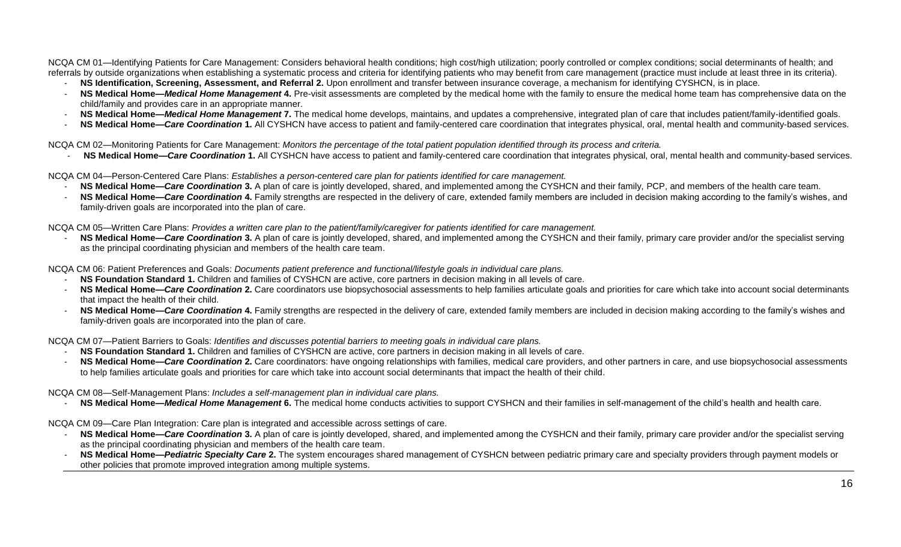NCQA CM 01—Identifying Patients for Care Management: Considers behavioral health conditions; high cost/high utilization; poorly controlled or complex conditions; social determinants of health; and referrals by outside organizations when establishing a systematic process and criteria for identifying patients who may benefit from care management (practice must include at least three in its criteria).

- **NS Identification, Screening, Assessment, and Referral 2.** Upon enrollment and transfer between insurance coverage, a mechanism for identifying CYSHCN, is in place.
- **NS Medical Home—***Medical Home Management* **4.** Pre-visit assessments are completed by the medical home with the family to ensure the medical home team has comprehensive data on the child/family and provides care in an appropriate manner.
- **NS Medical Home—***Medical Home Management* **7.** The medical home develops, maintains, and updates a comprehensive, integrated plan of care that includes patient/family-identified goals.
- **NS Medical Home—Care Coordination 1.** All CYSHCN have access to patient and family-centered care coordination that integrates physical, oral, mental health and community-based services.

NCQA CM 02—Monitoring Patients for Care Management: *Monitors the percentage of the total patient population identified through its process and criteria.*

**NS Medical Home—Care Coordination 1.** All CYSHCN have access to patient and family-centered care coordination that integrates physical, oral, mental health and community-based services.

NCQA CM 04—Person-Centered Care Plans: *Establishes a person-centered care plan for patients identified for care management.*

- **NS Medical Home—***Care Coordination* **3.** A plan of care is jointly developed, shared, and implemented among the CYSHCN and their family, PCP, and members of the health care team*.*
- NS Medical Home—Care Coordination 4. Family strengths are respected in the delivery of care, extended family members are included in decision making according to the family's wishes, and family-driven goals are incorporated into the plan of care.

NCQA CM 05—Written Care Plans: *Provides a written care plan to the patient/family/caregiver for patients identified for care management.*

**NS Medical Home—Care Coordination** 3. A plan of care is jointly developed, shared, and implemented among the CYSHCN and their family, primary care provider and/or the specialist serving as the principal coordinating physician and members of the health care team.

NCQA CM 06: Patient Preferences and Goals: *Documents patient preference and functional/lifestyle goals in individual care plans.*

- **NS Foundation Standard 1.** Children and families of CYSHCN are active, core partners in decision making in all levels of care.
- NS Medical Home—Care Coordination 2. Care coordinators use biopsychosocial assessments to help families articulate goals and priorities for care which take into account social determinants that impact the health of their child.
- NS Medical Home—Care Coordination 4. Family strengths are respected in the delivery of care, extended family members are included in decision making according to the family's wishes and family-driven goals are incorporated into the plan of care.

NCQA CM 07—Patient Barriers to Goals: *Identifies and discusses potential barriers to meeting goals in individual care plans.*

- **NS Foundation Standard 1.** Children and families of CYSHCN are active, core partners in decision making in all levels of care.
- NS Medical Home—Care Coordination 2. Care coordinators: have ongoing relationships with families, medical care providers, and other partners in care, and use biopsychosocial assessments to help families articulate goals and priorities for care which take into account social determinants that impact the health of their child.

NCQA CM 08—Self-Management Plans: *Includes a self-management plan in individual care plans.*

**NS Medical Home—***Medical Home Management* **6.** The medical home conducts activities to support CYSHCN and their families in self-management of the child's health and health care.

NCQA CM 09—Care Plan Integration: Care plan is integrated and accessible across settings of care.

- **NS Medical Home—Care Coordination** 3. A plan of care is jointly developed, shared, and implemented among the CYSHCN and their family, primary care provider and/or the specialist serving as the principal coordinating physician and members of the health care team.
- **NS Medical Home—***Pediatric Specialty Care* **2.** The system encourages shared management of CYSHCN between pediatric primary care and specialty providers through payment models or other policies that promote improved integration among multiple systems.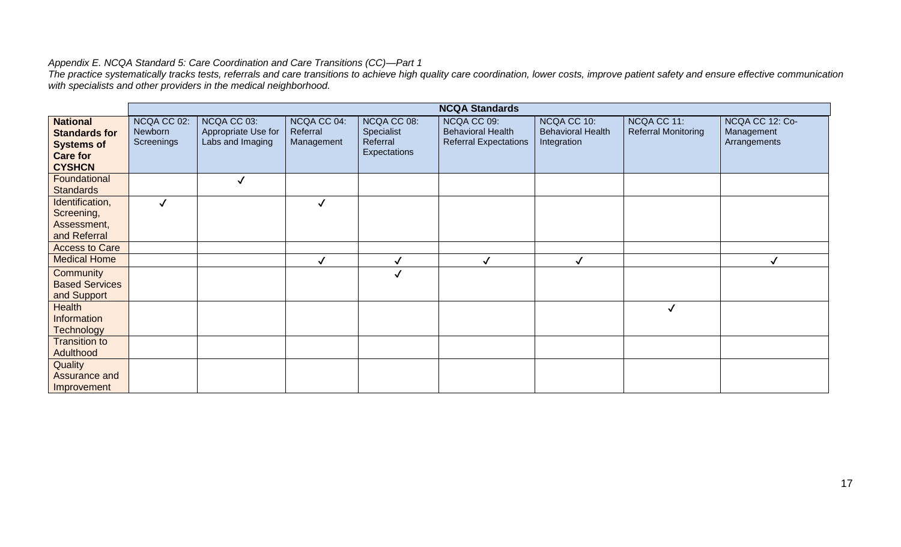## <span id="page-16-0"></span>*Appendix E. NCQA Standard 5: Care Coordination and Care Transitions (CC)—Part 1*

*The practice systematically tracks tests, referrals and care transitions to achieve high quality care coordination, lower costs, improve patient safety and ensure effective communication with specialists and other providers in the medical neighborhood.*

|                                                                                                  |                                      |                                                        |                                       |                                                       | <b>NCQA Standards</b>                                                   |                                                        |                                           |                                               |
|--------------------------------------------------------------------------------------------------|--------------------------------------|--------------------------------------------------------|---------------------------------------|-------------------------------------------------------|-------------------------------------------------------------------------|--------------------------------------------------------|-------------------------------------------|-----------------------------------------------|
| <b>National</b><br><b>Standards for</b><br><b>Systems of</b><br><b>Care for</b><br><b>CYSHCN</b> | NCQA CC 02:<br>Newborn<br>Screenings | NCQA CC 03:<br>Appropriate Use for<br>Labs and Imaging | NCQA CC 04:<br>Referral<br>Management | NCQA CC 08:<br>Specialist<br>Referral<br>Expectations | NCQA CC 09:<br><b>Behavioral Health</b><br><b>Referral Expectations</b> | NCQA CC 10:<br><b>Behavioral Health</b><br>Integration | NCQA CC 11:<br><b>Referral Monitoring</b> | NCQA CC 12: Co-<br>Management<br>Arrangements |
| Foundational<br><b>Standards</b>                                                                 |                                      | $\checkmark$                                           |                                       |                                                       |                                                                         |                                                        |                                           |                                               |
| Identification,<br>Screening,<br>Assessment,<br>and Referral                                     |                                      |                                                        | $\checkmark$                          |                                                       |                                                                         |                                                        |                                           |                                               |
| <b>Access to Care</b>                                                                            |                                      |                                                        |                                       |                                                       |                                                                         |                                                        |                                           |                                               |
| <b>Medical Home</b>                                                                              |                                      |                                                        | $\checkmark$                          | $\checkmark$                                          |                                                                         | $\checkmark$                                           |                                           |                                               |
| Community<br><b>Based Services</b><br>and Support                                                |                                      |                                                        |                                       |                                                       |                                                                         |                                                        |                                           |                                               |
| <b>Health</b><br>Information<br><b>Technology</b>                                                |                                      |                                                        |                                       |                                                       |                                                                         |                                                        | $\checkmark$                              |                                               |
| <b>Transition to</b><br>Adulthood                                                                |                                      |                                                        |                                       |                                                       |                                                                         |                                                        |                                           |                                               |
| Quality<br>Assurance and<br>Improvement                                                          |                                      |                                                        |                                       |                                                       |                                                                         |                                                        |                                           |                                               |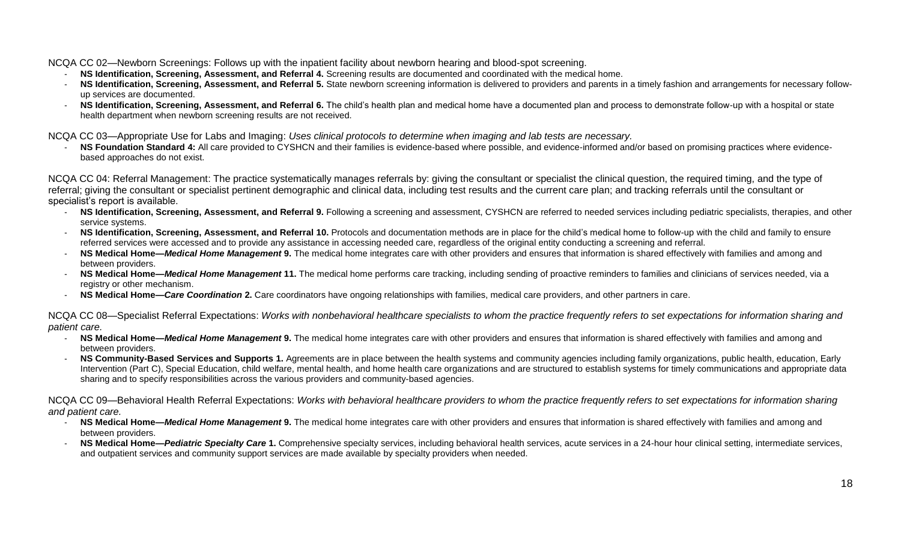NCQA CC 02—Newborn Screenings: Follows up with the inpatient facility about newborn hearing and blood-spot screening.

- **NS Identification, Screening, Assessment, and Referral 4.** Screening results are documented and coordinated with the medical home.
- **NS Identification, Screening, Assessment, and Referral 5.** State newborn screening information is delivered to providers and parents in a timely fashion and arrangements for necessary followup services are documented.
- NS Identification, Screening, Assessment, and Referral 6. The child's health plan and medical home have a documented plan and process to demonstrate follow-up with a hospital or state health department when newborn screening results are not received.

NCQA CC 03—Appropriate Use for Labs and Imaging: *Uses clinical protocols to determine when imaging and lab tests are necessary.*

- **NS Foundation Standard 4:** All care provided to CYSHCN and their families is evidence-based where possible, and evidence-informed and/or based on promising practices where evidencebased approaches do not exist.

NCQA CC 04: Referral Management: The practice systematically manages referrals by: giving the consultant or specialist the clinical question, the required timing, and the type of referral; giving the consultant or specialist pertinent demographic and clinical data, including test results and the current care plan; and tracking referrals until the consultant or specialist's report is available.

- NS Identification, Screening, Assessment, and Referral 9. Following a screening and assessment, CYSHCN are referred to needed services including pediatric specialists, therapies, and other service systems.
- NS Identification, Screening, Assessment, and Referral 10. Protocols and documentation methods are in place for the child's medical home to follow-up with the child and family to ensure referred services were accessed and to provide any assistance in accessing needed care, regardless of the original entity conducting a screening and referral.
- NS Medical Home—*Medical Home Management* 9. The medical home integrates care with other providers and ensures that information is shared effectively with families and among and between providers.
- **NS Medical Home—***Medical Home Management* **11.** The medical home performs care tracking, including sending of proactive reminders to families and clinicians of services needed, via a registry or other mechanism.
- **NS Medical Home—***Care Coordination* **2.** Care coordinators have ongoing relationships with families, medical care providers, and other partners in care.

NCQA CC 08—Specialist Referral Expectations: *Works with nonbehavioral healthcare specialists to whom the practice frequently refers to set expectations for information sharing and patient care.*

- **NS Medical Home—***Medical Home Management* **9.** The medical home integrates care with other providers and ensures that information is shared effectively with families and among and between providers.
- **NS Community-Based Services and Supports 1.** Agreements are in place between the health systems and community agencies including family organizations, public health, education, Early Intervention (Part C), Special Education, child welfare, mental health, and home health care organizations and are structured to establish systems for timely communications and appropriate data sharing and to specify responsibilities across the various providers and community-based agencies.

NCQA CC 09—Behavioral Health Referral Expectations: *Works with behavioral healthcare providers to whom the practice frequently refers to set expectations for information sharing and patient care.*

- **NS Medical Home—***Medical Home Management* **9.** The medical home integrates care with other providers and ensures that information is shared effectively with families and among and between providers.
- NS Medical Home—*Pediatric Specialty Care* 1. Comprehensive specialty services, including behavioral health services, acute services in a 24-hour hour clinical setting, intermediate services, and outpatient services and community support services are made available by specialty providers when needed.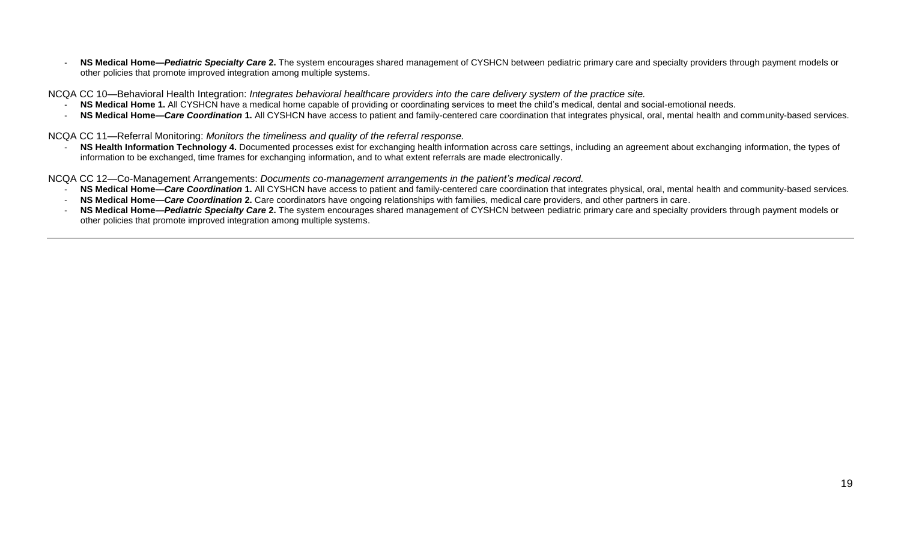**NS Medical Home—***Pediatric Specialty Care* 2. The system encourages shared management of CYSHCN between pediatric primary care and specialty providers through payment models or other policies that promote improved integration among multiple systems.

NCQA CC 10—Behavioral Health Integration: *Integrates behavioral healthcare providers into the care delivery system of the practice site.*

- **NS Medical Home 1.** All CYSHCN have a medical home capable of providing or coordinating services to meet the child's medical, dental and social-emotional needs.
- **NS Medical Home—Care Coordination 1.** All CYSHCN have access to patient and family-centered care coordination that integrates physical, oral, mental health and community-based services.

NCQA CC 11—Referral Monitoring: *Monitors the timeliness and quality of the referral response.*

NS Health Information Technology 4. Documented processes exist for exchanging health information across care settings, including an agreement about exchanging information, the types of information to be exchanged, time frames for exchanging information, and to what extent referrals are made electronically.

NCQA CC 12—Co-Management Arrangements: *Documents co-management arrangements in the patient's medical record.*

- NS Medical Home—Care Coordination 1. All CYSHCN have access to patient and family-centered care coordination that integrates physical, oral, mental health and community-based services.
- **NS Medical Home—***Care Coordination* **2.** Care coordinators have ongoing relationships with families, medical care providers, and other partners in care.
- **NS Medical Home—***Pediatric Specialty Care* **2.** The system encourages shared management of CYSHCN between pediatric primary care and specialty providers through payment models or other policies that promote improved integration among multiple systems.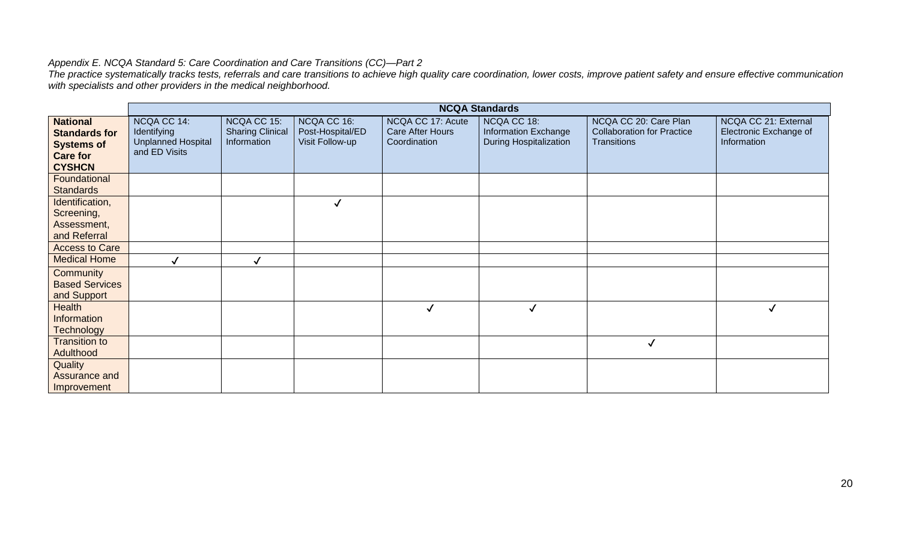## *Appendix E. NCQA Standard 5: Care Coordination and Care Transitions (CC)—Part 2*

*The practice systematically tracks tests, referrals and care transitions to achieve high quality care coordination, lower costs, improve patient safety and ensure effective communication with specialists and other providers in the medical neighborhood.* 

|                                                                                                  |                                                                                 |                                                       |                                                    |                                                       | <b>NCQA Standards</b>                                         |                                                                                  |                                                               |
|--------------------------------------------------------------------------------------------------|---------------------------------------------------------------------------------|-------------------------------------------------------|----------------------------------------------------|-------------------------------------------------------|---------------------------------------------------------------|----------------------------------------------------------------------------------|---------------------------------------------------------------|
| <b>National</b><br><b>Standards for</b><br><b>Systems of</b><br><b>Care for</b><br><b>CYSHCN</b> | NCQA CC 14:<br><b>Identifying</b><br><b>Unplanned Hospital</b><br>and ED Visits | NCQA CC 15:<br><b>Sharing Clinical</b><br>Information | NCQA CC 16:<br>Post-Hospital/ED<br>Visit Follow-up | NCQA CC 17: Acute<br>Care After Hours<br>Coordination | NCQA CC 18:<br>Information Exchange<br>During Hospitalization | NCQA CC 20: Care Plan<br><b>Collaboration for Practice</b><br><b>Transitions</b> | NCQA CC 21: External<br>Electronic Exchange of<br>Information |
| Foundational<br><b>Standards</b>                                                                 |                                                                                 |                                                       |                                                    |                                                       |                                                               |                                                                                  |                                                               |
| Identification,<br>Screening,<br>Assessment,<br>and Referral                                     |                                                                                 |                                                       | $\checkmark$                                       |                                                       |                                                               |                                                                                  |                                                               |
| <b>Access to Care</b>                                                                            |                                                                                 |                                                       |                                                    |                                                       |                                                               |                                                                                  |                                                               |
| <b>Medical Home</b>                                                                              |                                                                                 | ✓                                                     |                                                    |                                                       |                                                               |                                                                                  |                                                               |
| Community<br><b>Based Services</b><br>and Support                                                |                                                                                 |                                                       |                                                    |                                                       |                                                               |                                                                                  |                                                               |
| <b>Health</b><br>Information<br>Technology                                                       |                                                                                 |                                                       |                                                    | $\checkmark$                                          | √                                                             |                                                                                  |                                                               |
| <b>Transition to</b><br>Adulthood                                                                |                                                                                 |                                                       |                                                    |                                                       |                                                               | $\checkmark$                                                                     |                                                               |
| Quality<br>Assurance and<br>Improvement                                                          |                                                                                 |                                                       |                                                    |                                                       |                                                               |                                                                                  |                                                               |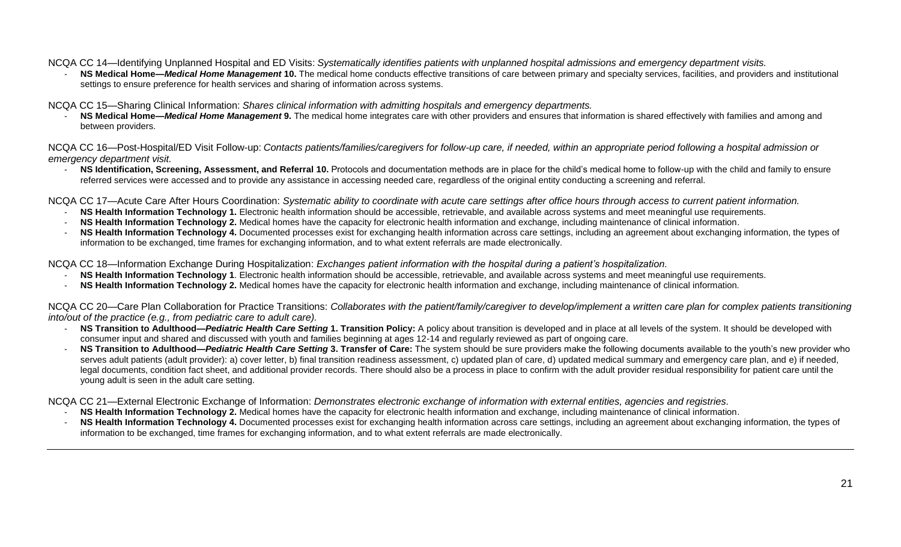NCQA CC 14—Identifying Unplanned Hospital and ED Visits: *Systematically identifies patients with unplanned hospital admissions and emergency department visits.*

NS Medical Home—*Medical Home Management* 10. The medical home conducts effective transitions of care between primary and specialty services, facilities, and providers and institutional settings to ensure preference for health services and sharing of information across systems.

NCQA CC 15—Sharing Clinical Information: *Shares clinical information with admitting hospitals and emergency departments.*

NS Medical Home—*Medical Home Management* 9. The medical home integrates care with other providers and ensures that information is shared effectively with families and among and between providers.

NCQA CC 16—Post-Hospital/ED Visit Follow-up: *Contacts patients/families/caregivers for follow-up care, if needed, within an appropriate period following a hospital admission or emergency department visit.*

- **NS Identification, Screening, Assessment, and Referral 10.** Protocols and documentation methods are in place for the child's medical home to follow-up with the child and family to ensure referred services were accessed and to provide any assistance in accessing needed care, regardless of the original entity conducting a screening and referral.

NCQA CC 17—Acute Care After Hours Coordination: *Systematic ability to coordinate with acute care settings after office hours through access to current patient information.*

- **NS Health Information Technology 1.** Electronic health information should be accessible, retrievable, and available across systems and meet meaningful use requirements.
- **NS Health Information Technology 2.** Medical homes have the capacity for electronic health information and exchange, including maintenance of clinical information.
- NS Health Information Technology 4. Documented processes exist for exchanging health information across care settings, including an agreement about exchanging information, the types of information to be exchanged, time frames for exchanging information, and to what extent referrals are made electronically.

NCQA CC 18—Information Exchange During Hospitalization: *Exchanges patient information with the hospital during a patient's hospitalization.*

- **NS Health Information Technology 1**. Electronic health information should be accessible, retrievable, and available across systems and meet meaningful use requirements.
- **NS Health Information Technology 2.** Medical homes have the capacity for electronic health information and exchange, including maintenance of clinical information.

NCQA CC 20—Care Plan Collaboration for Practice Transitions: *Collaborates with the patient/family/caregiver to develop/implement a written care plan for complex patients transitioning into/out of the practice (e.g., from pediatric care to adult care).*

- NS Transition to Adulthood-Pediatric Health Care Setting 1. Transition Policy: A policy about transition is developed and in place at all levels of the system. It should be developed with consumer input and shared and discussed with youth and families beginning at ages 12-14 and regularly reviewed as part of ongoing care.
- NS Transition to Adulthood—Pediatric Health Care Setting 3. Transfer of Care: The system should be sure providers make the following documents available to the youth's new provider who serves adult patients (adult provider): a) cover letter, b) final transition readiness assessment, c) updated plan of care, d) updated medical summary and emergency care plan, and e) if needed, legal documents, condition fact sheet, and additional provider records. There should also be a process in place to confirm with the adult provider residual responsibility for patient care until the young adult is seen in the adult care setting.

NCQA CC 21—External Electronic Exchange of Information: *Demonstrates electronic exchange of information with external entities, agencies and registries.*

- **NS Health Information Technology 2.** Medical homes have the capacity for electronic health information and exchange, including maintenance of clinical information.
- <span id="page-20-0"></span>NS Health Information Technology 4. Documented processes exist for exchanging health information across care settings, including an agreement about exchanging information, the types of information to be exchanged, time frames for exchanging information, and to what extent referrals are made electronically.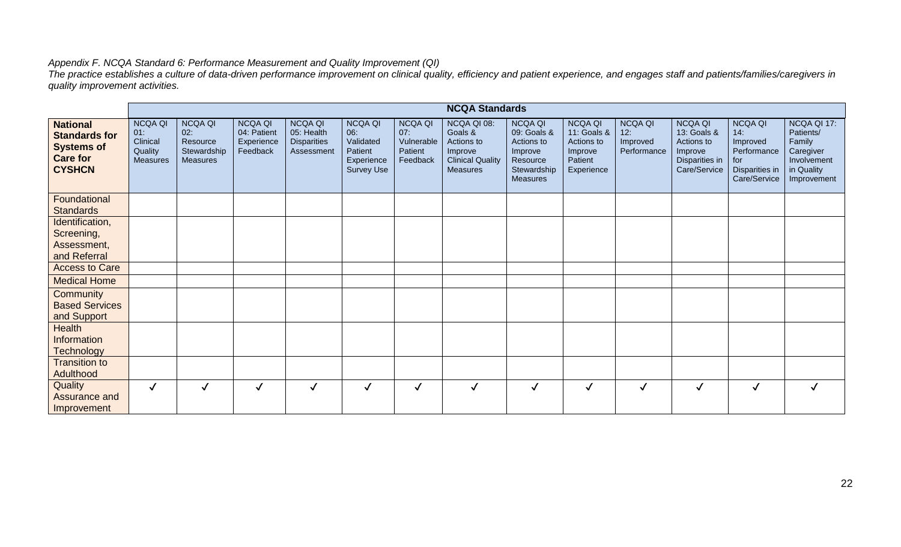#### *Appendix F. NCQA Standard 6: Performance Measurement and Quality Improvement (QI)*

*The practice establishes a culture of data-driven performance improvement on clinical quality, efficiency and patient experience, and engages staff and patients/families/caregivers in quality improvement activities.* 

|                                                                                                  |                                                                 | <b>NCQA Standards</b>                                               |                                                         |                                                                  |                                                                           |                                                            |                                                                                               |                                                                                                      |                                                                                 |                                                  |                                                                                          |                                                                                           |                                                                                             |
|--------------------------------------------------------------------------------------------------|-----------------------------------------------------------------|---------------------------------------------------------------------|---------------------------------------------------------|------------------------------------------------------------------|---------------------------------------------------------------------------|------------------------------------------------------------|-----------------------------------------------------------------------------------------------|------------------------------------------------------------------------------------------------------|---------------------------------------------------------------------------------|--------------------------------------------------|------------------------------------------------------------------------------------------|-------------------------------------------------------------------------------------------|---------------------------------------------------------------------------------------------|
| <b>National</b><br><b>Standards for</b><br><b>Systems of</b><br><b>Care for</b><br><b>CYSHCN</b> | <b>NCQA QI</b><br>01:<br>Clinical<br>Quality<br><b>Measures</b> | <b>NCQA QI</b><br>02:<br>Resource<br>Stewardship<br><b>Measures</b> | <b>NCQA QI</b><br>04: Patient<br>Experience<br>Feedback | <b>NCQA QI</b><br>05: Health<br><b>Disparities</b><br>Assessment | <b>NCQA QI</b><br>06:<br>Validated<br>Patient<br>Experience<br>Survey Use | <b>NCQA QI</b><br>07:<br>Vulnerable<br>Patient<br>Feedback | NCQA QI 08:<br>Goals &<br>Actions to<br>Improve<br><b>Clinical Quality</b><br><b>Measures</b> | <b>NCQA QI</b><br>09: Goals &<br>Actions to<br>Improve<br>Resource<br>Stewardship<br><b>Measures</b> | <b>NCQA QI</b><br>11: Goals &<br>Actions to<br>Improve<br>Patient<br>Experience | <b>NCQA QI</b><br>12:<br>Improved<br>Performance | <b>NCQA QI</b><br>13: Goals &<br>Actions to<br>Improve<br>Disparities in<br>Care/Service | <b>NCQA QI</b><br>14:<br>Improved<br>Performance<br>for<br>Disparities in<br>Care/Service | NCQA QI 17:<br>Patients/<br>Family<br>Caregiver<br>Involvement<br>in Quality<br>Improvement |
| Foundational<br><b>Standards</b>                                                                 |                                                                 |                                                                     |                                                         |                                                                  |                                                                           |                                                            |                                                                                               |                                                                                                      |                                                                                 |                                                  |                                                                                          |                                                                                           |                                                                                             |
| Identification,<br>Screening,<br>Assessment,<br>and Referral                                     |                                                                 |                                                                     |                                                         |                                                                  |                                                                           |                                                            |                                                                                               |                                                                                                      |                                                                                 |                                                  |                                                                                          |                                                                                           |                                                                                             |
| <b>Access to Care</b>                                                                            |                                                                 |                                                                     |                                                         |                                                                  |                                                                           |                                                            |                                                                                               |                                                                                                      |                                                                                 |                                                  |                                                                                          |                                                                                           |                                                                                             |
| <b>Medical Home</b>                                                                              |                                                                 |                                                                     |                                                         |                                                                  |                                                                           |                                                            |                                                                                               |                                                                                                      |                                                                                 |                                                  |                                                                                          |                                                                                           |                                                                                             |
| Community<br><b>Based Services</b><br>and Support                                                |                                                                 |                                                                     |                                                         |                                                                  |                                                                           |                                                            |                                                                                               |                                                                                                      |                                                                                 |                                                  |                                                                                          |                                                                                           |                                                                                             |
| Health<br>Information<br><b>Technology</b>                                                       |                                                                 |                                                                     |                                                         |                                                                  |                                                                           |                                                            |                                                                                               |                                                                                                      |                                                                                 |                                                  |                                                                                          |                                                                                           |                                                                                             |
| <b>Transition to</b><br>Adulthood                                                                |                                                                 |                                                                     |                                                         |                                                                  |                                                                           |                                                            |                                                                                               |                                                                                                      |                                                                                 |                                                  |                                                                                          |                                                                                           |                                                                                             |
| Quality<br>Assurance and<br>Improvement                                                          | $\checkmark$                                                    | $\checkmark$                                                        | $\checkmark$                                            | $\checkmark$                                                     | $\checkmark$                                                              | $\checkmark$                                               | $\checkmark$                                                                                  | $\checkmark$                                                                                         | $\sqrt{ }$                                                                      | $\checkmark$                                     | ✓                                                                                        | $\checkmark$                                                                              | ✓                                                                                           |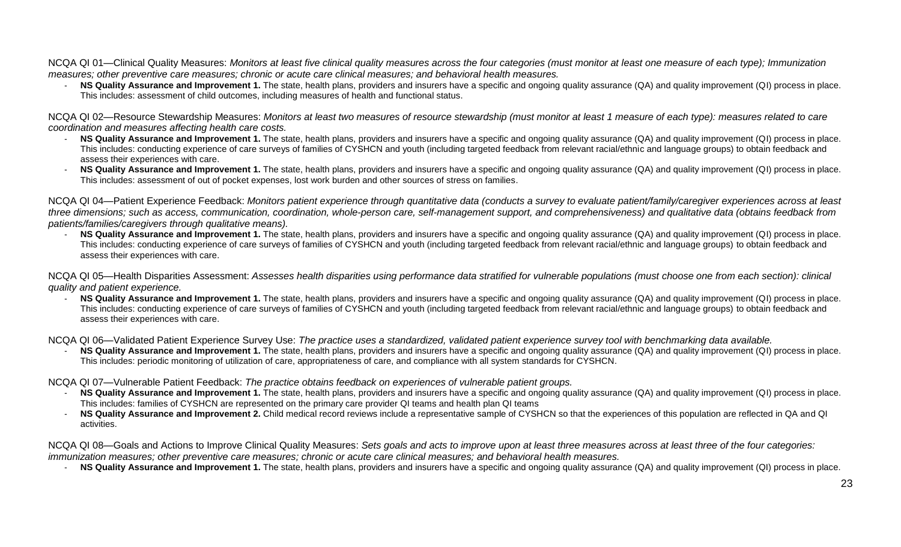NCQA QI 01—Clinical Quality Measures: *Monitors at least five clinical quality measures across the four categories (must monitor at least one measure of each type); Immunization measures; other preventive care measures; chronic or acute care clinical measures; and behavioral health measures.*

- **NS Quality Assurance and Improvement 1.** The state, health plans, providers and insurers have a specific and ongoing quality assurance (QA) and quality improvement (QI) process in place. This includes: assessment of child outcomes, including measures of health and functional status.

NCQA QI 02—Resource Stewardship Measures: *Monitors at least two measures of resource stewardship (must monitor at least 1 measure of each type): measures related to care coordination and measures affecting health care costs.*

- NS Quality Assurance and Improvement 1. The state, health plans, providers and insurers have a specific and ongoing quality assurance (QA) and quality improvement (QI) process in place. This includes: conducting experience of care surveys of families of CYSHCN and youth (including targeted feedback from relevant racial/ethnic and language groups) to obtain feedback and assess their experiences with care.
- **NS Quality Assurance and Improvement 1.** The state, health plans, providers and insurers have a specific and ongoing quality assurance (QA) and quality improvement (QI) process in place. This includes: assessment of out of pocket expenses, lost work burden and other sources of stress on families.

NCQA QI 04—Patient Experience Feedback: *Monitors patient experience through quantitative data (conducts a survey to evaluate patient/family/caregiver experiences across at least*  three dimensions; such as access, communication, coordination, whole-person care, self-management support, and comprehensiveness) and qualitative data (obtains feedback from *patients/families/caregivers through qualitative means).*

NS Quality Assurance and Improvement 1. The state, health plans, providers and insurers have a specific and ongoing quality assurance (QA) and quality improvement (QI) process in place. This includes: conducting experience of care surveys of families of CYSHCN and youth (including targeted feedback from relevant racial/ethnic and language groups) to obtain feedback and assess their experiences with care.

NCQA QI 05—Health Disparities Assessment: *Assesses health disparities using performance data stratified for vulnerable populations (must choose one from each section): clinical quality and patient experience.*

- **NS Quality Assurance and Improvement 1.** The state, health plans, providers and insurers have a specific and ongoing quality assurance (QA) and quality improvement (QI) process in place. This includes: conducting experience of care surveys of families of CYSHCN and youth (including targeted feedback from relevant racial/ethnic and language groups) to obtain feedback and assess their experiences with care.

NCQA QI 06—Validated Patient Experience Survey Use: *The practice uses a standardized, validated patient experience survey tool with benchmarking data available.*

- **NS Quality Assurance and Improvement 1.** The state, health plans, providers and insurers have a specific and ongoing quality assurance (QA) and quality improvement (QI) process in place. This includes: periodic monitoring of utilization of care, appropriateness of care, and compliance with all system standards for CYSHCN.
- NCQA QI 07—Vulnerable Patient Feedback: *The practice obtains feedback on experiences of vulnerable patient groups.*
	- **NS Quality Assurance and Improvement 1.** The state, health plans, providers and insurers have a specific and ongoing quality assurance (QA) and quality improvement (QI) process in place. This includes: families of CYSHCN are represented on the primary care provider QI teams and health plan QI teams
	- **NS Quality Assurance and Improvement 2.** Child medical record reviews include a representative sample of CYSHCN so that the experiences of this population are reflected in QA and QI activities.

NCQA QI 08—Goals and Actions to Improve Clinical Quality Measures: *Sets goals and acts to improve upon at least three measures across at least three of the four categories: immunization measures; other preventive care measures; chronic or acute care clinical measures; and behavioral health measures.*

**NS Quality Assurance and Improvement 1.** The state, health plans, providers and insurers have a specific and ongoing quality assurance (QA) and quality improvement (QI) process in place.